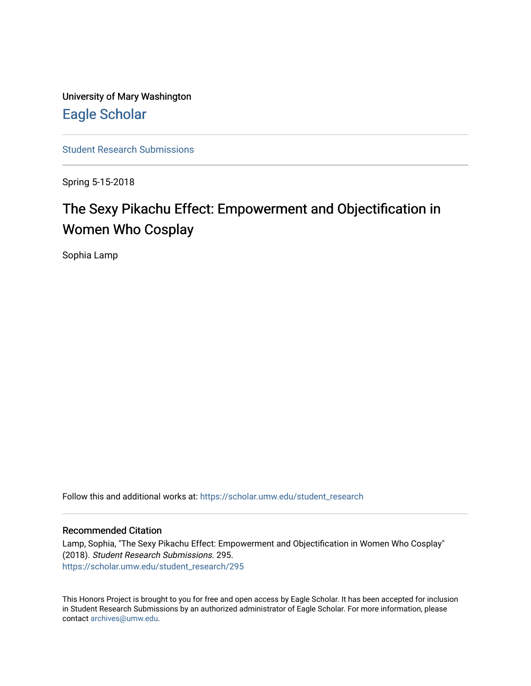University of Mary Washington [Eagle Scholar](https://scholar.umw.edu/) 

[Student Research Submissions](https://scholar.umw.edu/student_research) 

Spring 5-15-2018

# The Sexy Pikachu Effect: Empowerment and Objectification in Women Who Cosplay

Sophia Lamp

Follow this and additional works at: [https://scholar.umw.edu/student\\_research](https://scholar.umw.edu/student_research?utm_source=scholar.umw.edu%2Fstudent_research%2F295&utm_medium=PDF&utm_campaign=PDFCoverPages)

### Recommended Citation

Lamp, Sophia, "The Sexy Pikachu Effect: Empowerment and Objectification in Women Who Cosplay" (2018). Student Research Submissions. 295. [https://scholar.umw.edu/student\\_research/295](https://scholar.umw.edu/student_research/295?utm_source=scholar.umw.edu%2Fstudent_research%2F295&utm_medium=PDF&utm_campaign=PDFCoverPages)

This Honors Project is brought to you for free and open access by Eagle Scholar. It has been accepted for inclusion in Student Research Submissions by an authorized administrator of Eagle Scholar. For more information, please contact [archives@umw.edu](mailto:archives@umw.edu).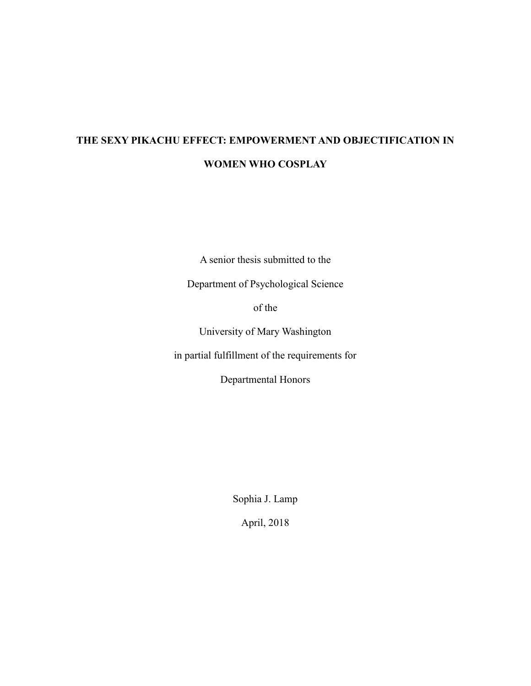# **THE SEXY PIKACHU EFFECT: EMPOWERMENT AND OBJECTIFICATION IN WOMEN WHO COSPLAY**

A senior thesis submitted to the

Department of Psychological Science

of the

University of Mary Washington

in partial fulfillment of the requirements for

Departmental Honors

Sophia J. Lamp

April, 2018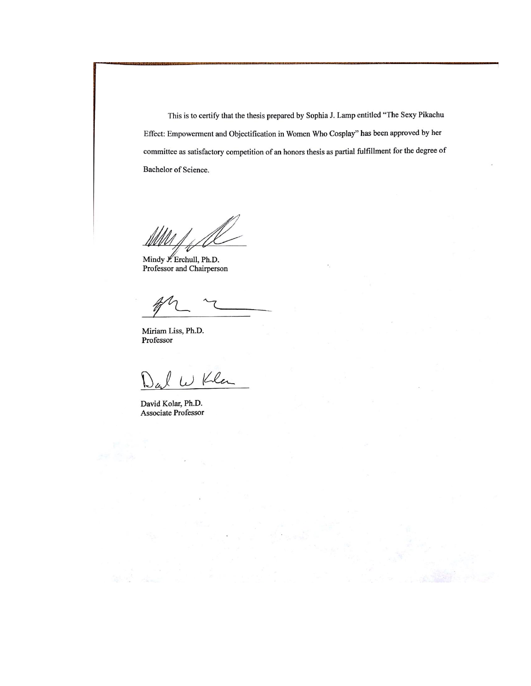This is to certify that the thesis prepared by Sophia J. Lamp entitled "The Sexy Pikachu Effect: Empowerment and Objectification in Women Who Cosplay" has been approved by her committee as satisfactory competition of an honors thesis as partial fulfillment for the degree of Bachelor of Science.

Mindy J. Erchull, Ph.D. Professor and Chairperson

Miriam Liss, Ph.D. Professor

W Kla

David Kolar, Ph.D. Associate Professor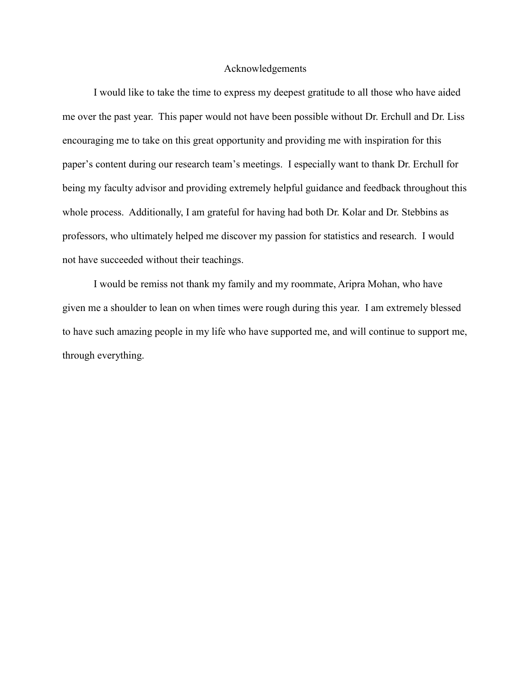### Acknowledgements

I would like to take the time to express my deepest gratitude to all those who have aided me over the past year. This paper would not have been possible without Dr. Erchull and Dr. Liss encouraging me to take on this great opportunity and providing me with inspiration for this paper's content during our research team's meetings. I especially want to thank Dr. Erchull for being my faculty advisor and providing extremely helpful guidance and feedback throughout this whole process. Additionally, I am grateful for having had both Dr. Kolar and Dr. Stebbins as professors, who ultimately helped me discover my passion for statistics and research. I would not have succeeded without their teachings.

I would be remiss not thank my family and my roommate, Aripra Mohan, who have given me a shoulder to lean on when times were rough during this year. I am extremely blessed to have such amazing people in my life who have supported me, and will continue to support me, through everything.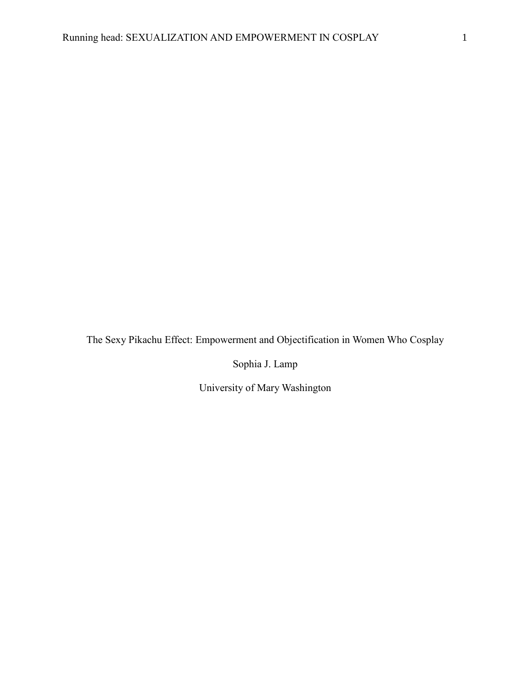The Sexy Pikachu Effect: Empowerment and Objectification in Women Who Cosplay

Sophia J. Lamp

University of Mary Washington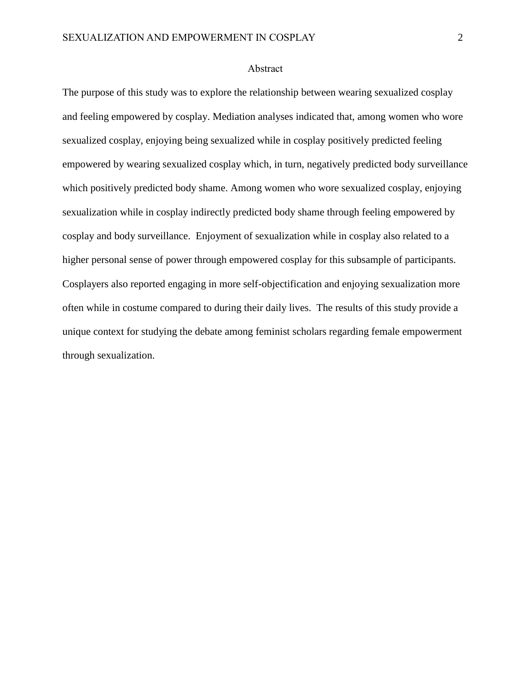### Abstract

The purpose of this study was to explore the relationship between wearing sexualized cosplay and feeling empowered by cosplay. Mediation analyses indicated that, among women who wore sexualized cosplay, enjoying being sexualized while in cosplay positively predicted feeling empowered by wearing sexualized cosplay which, in turn, negatively predicted body surveillance which positively predicted body shame. Among women who wore sexualized cosplay, enjoying sexualization while in cosplay indirectly predicted body shame through feeling empowered by cosplay and body surveillance. Enjoyment of sexualization while in cosplay also related to a higher personal sense of power through empowered cosplay for this subsample of participants. Cosplayers also reported engaging in more self-objectification and enjoying sexualization more often while in costume compared to during their daily lives. The results of this study provide a unique context for studying the debate among feminist scholars regarding female empowerment through sexualization.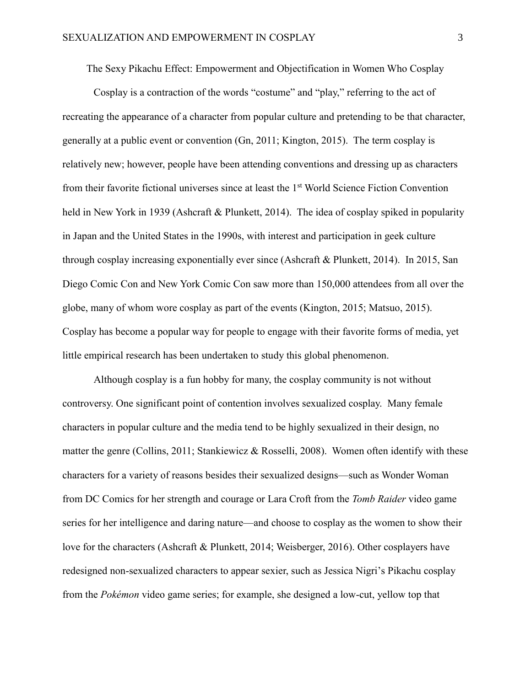The Sexy Pikachu Effect: Empowerment and Objectification in Women Who Cosplay

Cosplay is a contraction of the words "costume" and "play," referring to the act of recreating the appearance of a character from popular culture and pretending to be that character, generally at a public event or convention (Gn, 2011; Kington, 2015). The term cosplay is relatively new; however, people have been attending conventions and dressing up as characters from their favorite fictional universes since at least the 1<sup>st</sup> World Science Fiction Convention held in New York in 1939 (Ashcraft & Plunkett, 2014). The idea of cosplay spiked in popularity in Japan and the United States in the 1990s, with interest and participation in geek culture through cosplay increasing exponentially ever since (Ashcraft & Plunkett, 2014). In 2015, San Diego Comic Con and New York Comic Con saw more than 150,000 attendees from all over the globe, many of whom wore cosplay as part of the events (Kington, 2015; Matsuo, 2015). Cosplay has become a popular way for people to engage with their favorite forms of media, yet little empirical research has been undertaken to study this global phenomenon.

Although cosplay is a fun hobby for many, the cosplay community is not without controversy. One significant point of contention involves sexualized cosplay. Many female characters in popular culture and the media tend to be highly sexualized in their design, no matter the genre (Collins, 2011; Stankiewicz & Rosselli, 2008). Women often identify with these characters for a variety of reasons besides their sexualized designs—such as Wonder Woman from DC Comics for her strength and courage or Lara Croft from the *Tomb Raider* video game series for her intelligence and daring nature—and choose to cosplay as the women to show their love for the characters (Ashcraft & Plunkett, 2014; Weisberger, 2016). Other cosplayers have redesigned non-sexualized characters to appear sexier, such as Jessica Nigri's Pikachu cosplay from the *Pokémon* video game series; for example, she designed a low-cut, yellow top that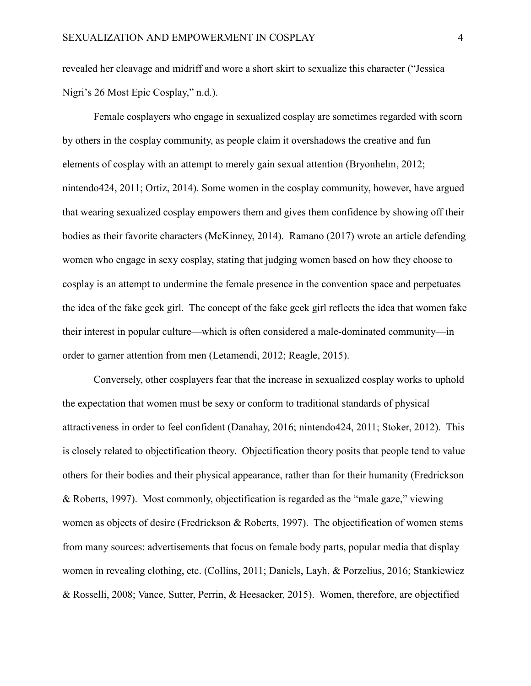revealed her cleavage and midriff and wore a short skirt to sexualize this character ("Jessica Nigri's 26 Most Epic Cosplay," n.d.).

Female cosplayers who engage in sexualized cosplay are sometimes regarded with scorn by others in the cosplay community, as people claim it overshadows the creative and fun elements of cosplay with an attempt to merely gain sexual attention (Bryonhelm, 2012; nintendo424, 2011; Ortiz, 2014). Some women in the cosplay community, however, have argued that wearing sexualized cosplay empowers them and gives them confidence by showing off their bodies as their favorite characters (McKinney, 2014). Ramano (2017) wrote an article defending women who engage in sexy cosplay, stating that judging women based on how they choose to cosplay is an attempt to undermine the female presence in the convention space and perpetuates the idea of the fake geek girl. The concept of the fake geek girl reflects the idea that women fake their interest in popular culture—which is often considered a male-dominated community—in order to garner attention from men (Letamendi, 2012; Reagle, 2015).

Conversely, other cosplayers fear that the increase in sexualized cosplay works to uphold the expectation that women must be sexy or conform to traditional standards of physical attractiveness in order to feel confident (Danahay, 2016; nintendo424, 2011; Stoker, 2012). This is closely related to objectification theory. Objectification theory posits that people tend to value others for their bodies and their physical appearance, rather than for their humanity (Fredrickson & Roberts, 1997). Most commonly, objectification is regarded as the "male gaze," viewing women as objects of desire (Fredrickson & Roberts, 1997). The objectification of women stems from many sources: advertisements that focus on female body parts, popular media that display women in revealing clothing, etc. (Collins, 2011; Daniels, Layh, & Porzelius, 2016; Stankiewicz & Rosselli, 2008; Vance, Sutter, Perrin, & Heesacker, 2015). Women, therefore, are objectified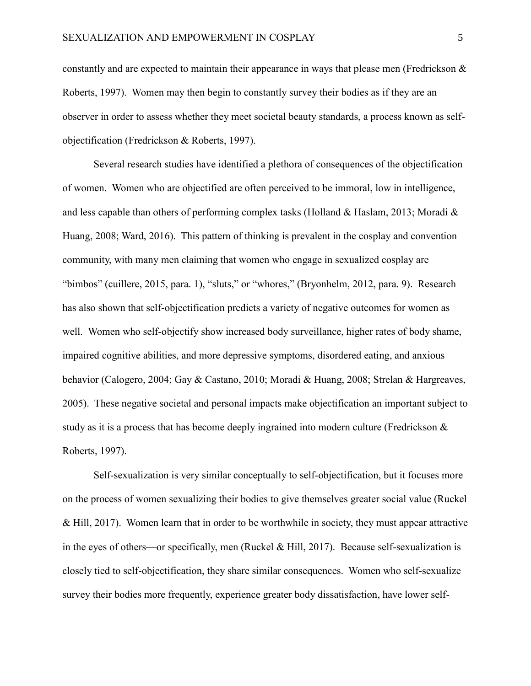constantly and are expected to maintain their appearance in ways that please men (Fredrickson & Roberts, 1997). Women may then begin to constantly survey their bodies as if they are an observer in order to assess whether they meet societal beauty standards, a process known as selfobjectification (Fredrickson & Roberts, 1997).

Several research studies have identified a plethora of consequences of the objectification of women. Women who are objectified are often perceived to be immoral, low in intelligence, and less capable than others of performing complex tasks (Holland & Haslam, 2013; Moradi & Huang, 2008; Ward, 2016). This pattern of thinking is prevalent in the cosplay and convention community, with many men claiming that women who engage in sexualized cosplay are "bimbos" (cuillere, 2015, para. 1), "sluts," or "whores," (Bryonhelm, 2012, para. 9). Research has also shown that self-objectification predicts a variety of negative outcomes for women as well. Women who self-objectify show increased body surveillance, higher rates of body shame, impaired cognitive abilities, and more depressive symptoms, disordered eating, and anxious behavior (Calogero, 2004; Gay & Castano, 2010; Moradi & Huang, 2008; Strelan & Hargreaves, 2005). These negative societal and personal impacts make objectification an important subject to study as it is a process that has become deeply ingrained into modern culture (Fredrickson & Roberts, 1997).

Self-sexualization is very similar conceptually to self-objectification, but it focuses more on the process of women sexualizing their bodies to give themselves greater social value (Ruckel & Hill, 2017). Women learn that in order to be worthwhile in society, they must appear attractive in the eyes of others—or specifically, men (Ruckel & Hill, 2017). Because self-sexualization is closely tied to self-objectification, they share similar consequences. Women who self-sexualize survey their bodies more frequently, experience greater body dissatisfaction, have lower self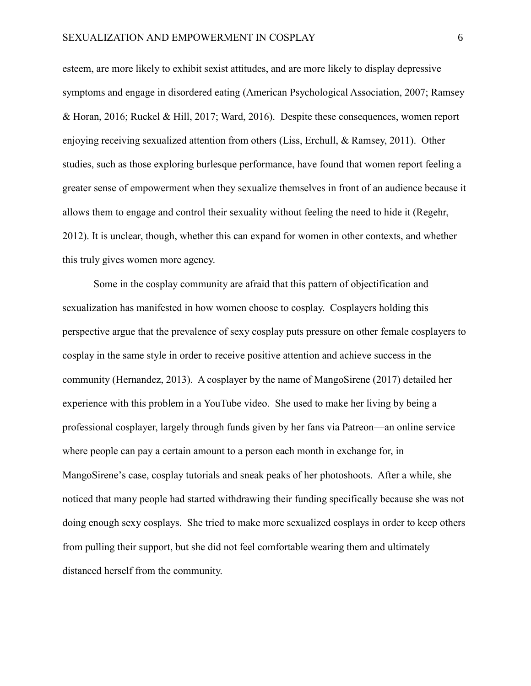esteem, are more likely to exhibit sexist attitudes, and are more likely to display depressive symptoms and engage in disordered eating (American Psychological Association, 2007; Ramsey & Horan, 2016; Ruckel & Hill, 2017; Ward, 2016). Despite these consequences, women report enjoying receiving sexualized attention from others (Liss, Erchull, & Ramsey, 2011). Other studies, such as those exploring burlesque performance, have found that women report feeling a greater sense of empowerment when they sexualize themselves in front of an audience because it allows them to engage and control their sexuality without feeling the need to hide it (Regehr, 2012). It is unclear, though, whether this can expand for women in other contexts, and whether this truly gives women more agency.

Some in the cosplay community are afraid that this pattern of objectification and sexualization has manifested in how women choose to cosplay. Cosplayers holding this perspective argue that the prevalence of sexy cosplay puts pressure on other female cosplayers to cosplay in the same style in order to receive positive attention and achieve success in the community (Hernandez, 2013). A cosplayer by the name of MangoSirene (2017) detailed her experience with this problem in a YouTube video. She used to make her living by being a professional cosplayer, largely through funds given by her fans via Patreon—an online service where people can pay a certain amount to a person each month in exchange for, in MangoSirene's case, cosplay tutorials and sneak peaks of her photoshoots. After a while, she noticed that many people had started withdrawing their funding specifically because she was not doing enough sexy cosplays. She tried to make more sexualized cosplays in order to keep others from pulling their support, but she did not feel comfortable wearing them and ultimately distanced herself from the community.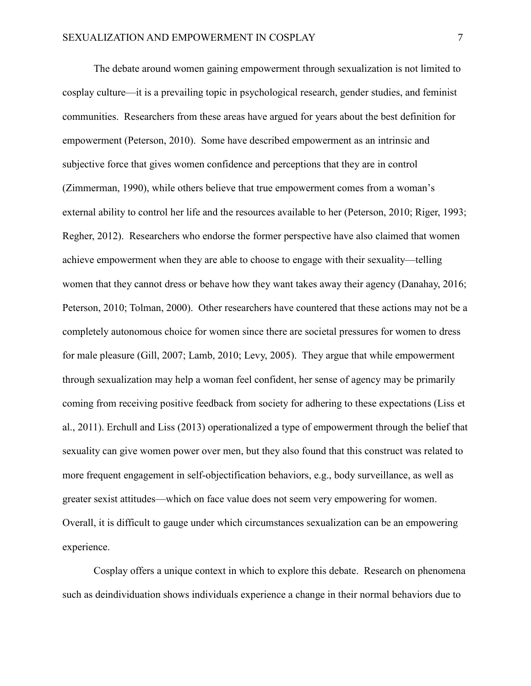The debate around women gaining empowerment through sexualization is not limited to cosplay culture—it is a prevailing topic in psychological research, gender studies, and feminist communities. Researchers from these areas have argued for years about the best definition for empowerment (Peterson, 2010). Some have described empowerment as an intrinsic and subjective force that gives women confidence and perceptions that they are in control (Zimmerman, 1990), while others believe that true empowerment comes from a woman's external ability to control her life and the resources available to her (Peterson, 2010; Riger, 1993; Regher, 2012). Researchers who endorse the former perspective have also claimed that women achieve empowerment when they are able to choose to engage with their sexuality—telling women that they cannot dress or behave how they want takes away their agency (Danahay, 2016; Peterson, 2010; Tolman, 2000). Other researchers have countered that these actions may not be a completely autonomous choice for women since there are societal pressures for women to dress for male pleasure (Gill, 2007; Lamb, 2010; Levy, 2005). They argue that while empowerment through sexualization may help a woman feel confident, her sense of agency may be primarily coming from receiving positive feedback from society for adhering to these expectations (Liss et al., 2011). Erchull and Liss (2013) operationalized a type of empowerment through the belief that sexuality can give women power over men, but they also found that this construct was related to more frequent engagement in self-objectification behaviors, e.g., body surveillance, as well as greater sexist attitudes—which on face value does not seem very empowering for women. Overall, it is difficult to gauge under which circumstances sexualization can be an empowering experience.

Cosplay offers a unique context in which to explore this debate. Research on phenomena such as deindividuation shows individuals experience a change in their normal behaviors due to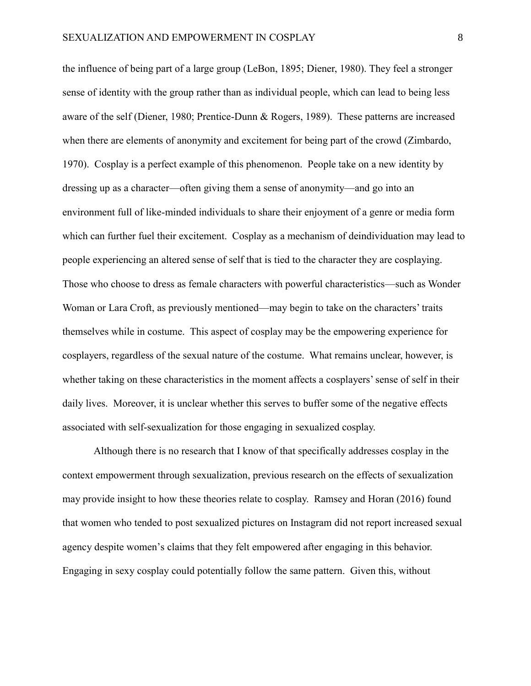the influence of being part of a large group (LeBon, 1895; Diener, 1980). They feel a stronger sense of identity with the group rather than as individual people, which can lead to being less aware of the self (Diener, 1980; Prentice-Dunn & Rogers, 1989). These patterns are increased when there are elements of anonymity and excitement for being part of the crowd (Zimbardo, 1970). Cosplay is a perfect example of this phenomenon. People take on a new identity by dressing up as a character—often giving them a sense of anonymity—and go into an environment full of like-minded individuals to share their enjoyment of a genre or media form which can further fuel their excitement. Cosplay as a mechanism of deindividuation may lead to people experiencing an altered sense of self that is tied to the character they are cosplaying. Those who choose to dress as female characters with powerful characteristics—such as Wonder Woman or Lara Croft, as previously mentioned—may begin to take on the characters' traits themselves while in costume. This aspect of cosplay may be the empowering experience for cosplayers, regardless of the sexual nature of the costume. What remains unclear, however, is whether taking on these characteristics in the moment affects a cosplayers' sense of self in their daily lives. Moreover, it is unclear whether this serves to buffer some of the negative effects associated with self-sexualization for those engaging in sexualized cosplay.

Although there is no research that I know of that specifically addresses cosplay in the context empowerment through sexualization, previous research on the effects of sexualization may provide insight to how these theories relate to cosplay. Ramsey and Horan (2016) found that women who tended to post sexualized pictures on Instagram did not report increased sexual agency despite women's claims that they felt empowered after engaging in this behavior. Engaging in sexy cosplay could potentially follow the same pattern. Given this, without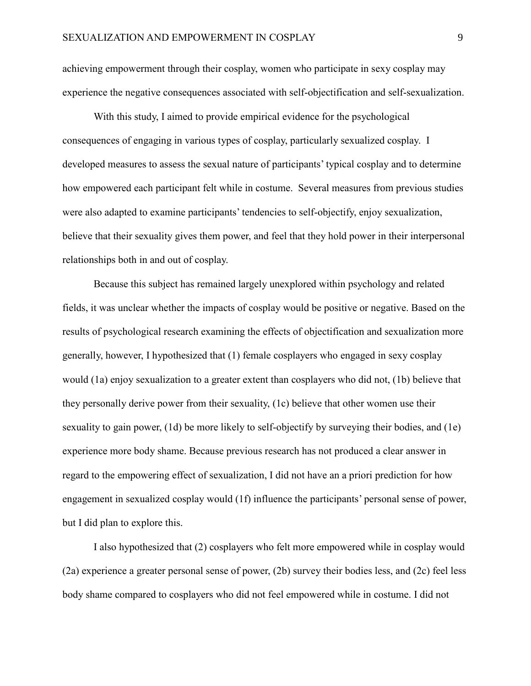achieving empowerment through their cosplay, women who participate in sexy cosplay may experience the negative consequences associated with self-objectification and self-sexualization.

With this study, I aimed to provide empirical evidence for the psychological consequences of engaging in various types of cosplay, particularly sexualized cosplay. I developed measures to assess the sexual nature of participants' typical cosplay and to determine how empowered each participant felt while in costume. Several measures from previous studies were also adapted to examine participants' tendencies to self-objectify, enjoy sexualization, believe that their sexuality gives them power, and feel that they hold power in their interpersonal relationships both in and out of cosplay.

Because this subject has remained largely unexplored within psychology and related fields, it was unclear whether the impacts of cosplay would be positive or negative. Based on the results of psychological research examining the effects of objectification and sexualization more generally, however, I hypothesized that (1) female cosplayers who engaged in sexy cosplay would (1a) enjoy sexualization to a greater extent than cosplayers who did not, (1b) believe that they personally derive power from their sexuality, (1c) believe that other women use their sexuality to gain power, (1d) be more likely to self-objectify by surveying their bodies, and (1e) experience more body shame. Because previous research has not produced a clear answer in regard to the empowering effect of sexualization, I did not have an a priori prediction for how engagement in sexualized cosplay would (1f) influence the participants' personal sense of power, but I did plan to explore this.

I also hypothesized that (2) cosplayers who felt more empowered while in cosplay would (2a) experience a greater personal sense of power, (2b) survey their bodies less, and (2c) feel less body shame compared to cosplayers who did not feel empowered while in costume. I did not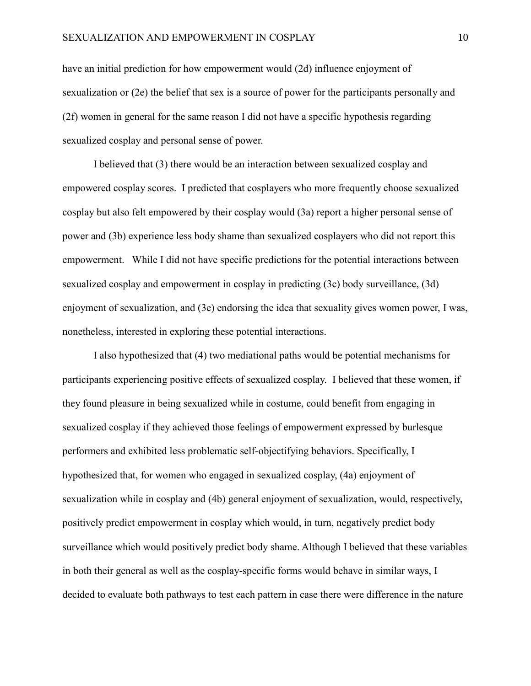have an initial prediction for how empowerment would (2d) influence enjoyment of sexualization or (2e) the belief that sex is a source of power for the participants personally and (2f) women in general for the same reason I did not have a specific hypothesis regarding sexualized cosplay and personal sense of power.

I believed that (3) there would be an interaction between sexualized cosplay and empowered cosplay scores. I predicted that cosplayers who more frequently choose sexualized cosplay but also felt empowered by their cosplay would (3a) report a higher personal sense of power and (3b) experience less body shame than sexualized cosplayers who did not report this empowerment. While I did not have specific predictions for the potential interactions between sexualized cosplay and empowerment in cosplay in predicting (3c) body surveillance, (3d) enjoyment of sexualization, and (3e) endorsing the idea that sexuality gives women power, I was, nonetheless, interested in exploring these potential interactions.

I also hypothesized that (4) two mediational paths would be potential mechanisms for participants experiencing positive effects of sexualized cosplay. I believed that these women, if they found pleasure in being sexualized while in costume, could benefit from engaging in sexualized cosplay if they achieved those feelings of empowerment expressed by burlesque performers and exhibited less problematic self-objectifying behaviors. Specifically, I hypothesized that, for women who engaged in sexualized cosplay, (4a) enjoyment of sexualization while in cosplay and (4b) general enjoyment of sexualization, would, respectively, positively predict empowerment in cosplay which would, in turn, negatively predict body surveillance which would positively predict body shame. Although I believed that these variables in both their general as well as the cosplay-specific forms would behave in similar ways, I decided to evaluate both pathways to test each pattern in case there were difference in the nature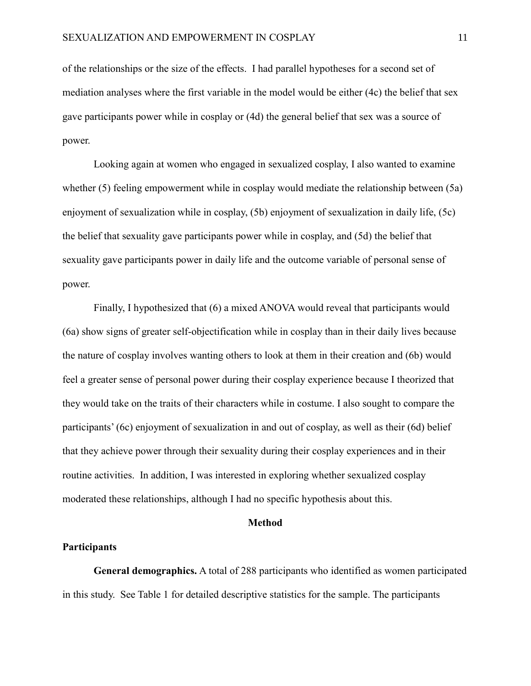of the relationships or the size of the effects. I had parallel hypotheses for a second set of mediation analyses where the first variable in the model would be either (4c) the belief that sex gave participants power while in cosplay or (4d) the general belief that sex was a source of power.

Looking again at women who engaged in sexualized cosplay, I also wanted to examine whether (5) feeling empowerment while in cosplay would mediate the relationship between (5a) enjoyment of sexualization while in cosplay, (5b) enjoyment of sexualization in daily life, (5c) the belief that sexuality gave participants power while in cosplay, and (5d) the belief that sexuality gave participants power in daily life and the outcome variable of personal sense of power.

Finally, I hypothesized that (6) a mixed ANOVA would reveal that participants would (6a) show signs of greater self-objectification while in cosplay than in their daily lives because the nature of cosplay involves wanting others to look at them in their creation and (6b) would feel a greater sense of personal power during their cosplay experience because I theorized that they would take on the traits of their characters while in costume. I also sought to compare the participants' (6c) enjoyment of sexualization in and out of cosplay, as well as their (6d) belief that they achieve power through their sexuality during their cosplay experiences and in their routine activities. In addition, I was interested in exploring whether sexualized cosplay moderated these relationships, although I had no specific hypothesis about this.

### **Method**

#### **Participants**

**General demographics.** A total of 288 participants who identified as women participated in this study. See Table 1 for detailed descriptive statistics for the sample. The participants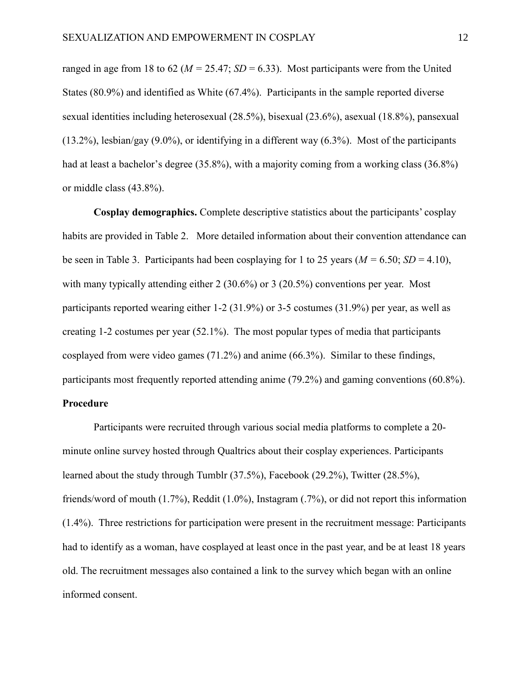ranged in age from 18 to 62 ( $M = 25.47$ ;  $SD = 6.33$ ). Most participants were from the United States (80.9%) and identified as White (67.4%). Participants in the sample reported diverse sexual identities including heterosexual (28.5%), bisexual (23.6%), asexual (18.8%), pansexual (13.2%), lesbian/gay (9.0%), or identifying in a different way (6.3%). Most of the participants had at least a bachelor's degree (35.8%), with a majority coming from a working class (36.8%) or middle class (43.8%).

**Cosplay demographics.** Complete descriptive statistics about the participants' cosplay habits are provided in Table 2. More detailed information about their convention attendance can be seen in Table 3. Participants had been cosplaying for 1 to 25 years ( $M = 6.50$ ;  $SD = 4.10$ ), with many typically attending either 2 (30.6%) or 3 (20.5%) conventions per year. Most participants reported wearing either 1-2 (31.9%) or 3-5 costumes (31.9%) per year, as well as creating 1-2 costumes per year (52.1%). The most popular types of media that participants cosplayed from were video games (71.2%) and anime (66.3%). Similar to these findings, participants most frequently reported attending anime (79.2%) and gaming conventions (60.8%).

### **Procedure**

Participants were recruited through various social media platforms to complete a 20 minute online survey hosted through Qualtrics about their cosplay experiences. Participants learned about the study through Tumblr (37.5%), Facebook (29.2%), Twitter (28.5%), friends/word of mouth (1.7%), Reddit (1.0%), Instagram (.7%), or did not report this information (1.4%). Three restrictions for participation were present in the recruitment message: Participants had to identify as a woman, have cosplayed at least once in the past year, and be at least 18 years old. The recruitment messages also contained a link to the survey which began with an online informed consent.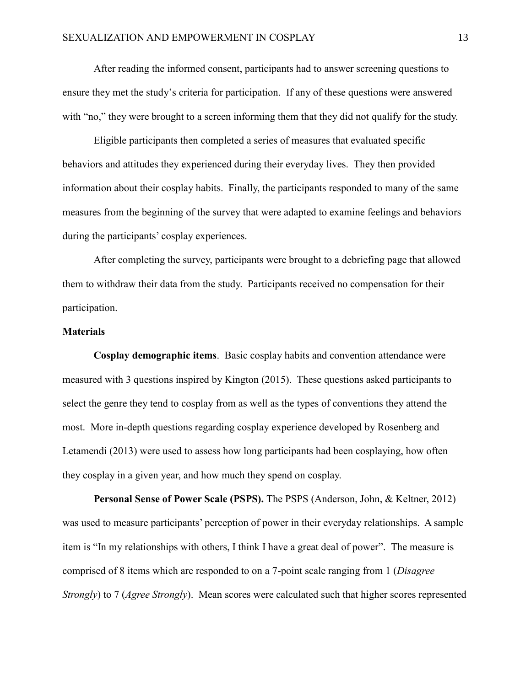After reading the informed consent, participants had to answer screening questions to ensure they met the study's criteria for participation. If any of these questions were answered with "no," they were brought to a screen informing them that they did not qualify for the study.

Eligible participants then completed a series of measures that evaluated specific behaviors and attitudes they experienced during their everyday lives. They then provided information about their cosplay habits. Finally, the participants responded to many of the same measures from the beginning of the survey that were adapted to examine feelings and behaviors during the participants' cosplay experiences.

After completing the survey, participants were brought to a debriefing page that allowed them to withdraw their data from the study. Participants received no compensation for their participation.

### **Materials**

**Cosplay demographic items**. Basic cosplay habits and convention attendance were measured with 3 questions inspired by Kington (2015). These questions asked participants to select the genre they tend to cosplay from as well as the types of conventions they attend the most. More in-depth questions regarding cosplay experience developed by Rosenberg and Letamendi (2013) were used to assess how long participants had been cosplaying, how often they cosplay in a given year, and how much they spend on cosplay.

**Personal Sense of Power Scale (PSPS).** The PSPS (Anderson, John, & Keltner, 2012) was used to measure participants' perception of power in their everyday relationships. A sample item is "In my relationships with others, I think I have a great deal of power". The measure is comprised of 8 items which are responded to on a 7-point scale ranging from 1 (*Disagree Strongly*) to 7 (*Agree Strongly*). Mean scores were calculated such that higher scores represented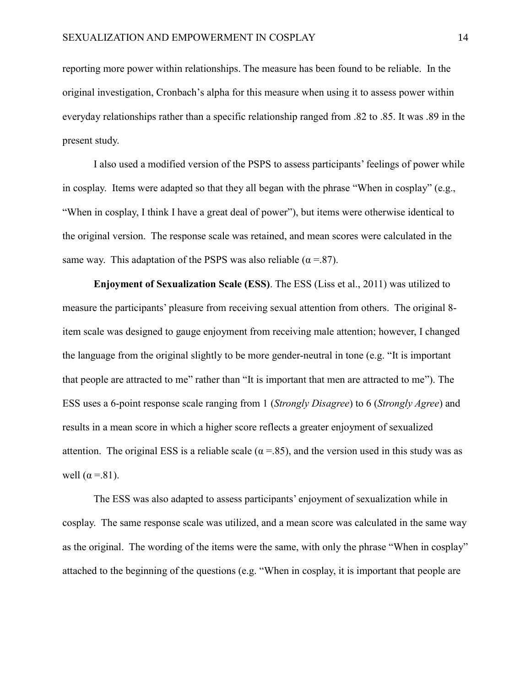reporting more power within relationships. The measure has been found to be reliable. In the original investigation, Cronbach's alpha for this measure when using it to assess power within everyday relationships rather than a specific relationship ranged from .82 to .85. It was .89 in the present study.

I also used a modified version of the PSPS to assess participants' feelings of power while in cosplay. Items were adapted so that they all began with the phrase "When in cosplay" (e.g., "When in cosplay, I think I have a great deal of power"), but items were otherwise identical to the original version. The response scale was retained, and mean scores were calculated in the same way. This adaptation of the PSPS was also reliable ( $\alpha = .87$ ).

**Enjoyment of Sexualization Scale (ESS)**. The ESS (Liss et al., 2011) was utilized to measure the participants' pleasure from receiving sexual attention from others. The original 8 item scale was designed to gauge enjoyment from receiving male attention; however, I changed the language from the original slightly to be more gender-neutral in tone (e.g. "It is important that people are attracted to me" rather than "It is important that men are attracted to me"). The ESS uses a 6-point response scale ranging from 1 (*Strongly Disagree*) to 6 (*Strongly Agree*) and results in a mean score in which a higher score reflects a greater enjoyment of sexualized attention. The original ESS is a reliable scale ( $\alpha$  =.85), and the version used in this study was as well  $(\alpha = .81)$ .

The ESS was also adapted to assess participants' enjoyment of sexualization while in cosplay. The same response scale was utilized, and a mean score was calculated in the same way as the original. The wording of the items were the same, with only the phrase "When in cosplay" attached to the beginning of the questions (e.g. "When in cosplay, it is important that people are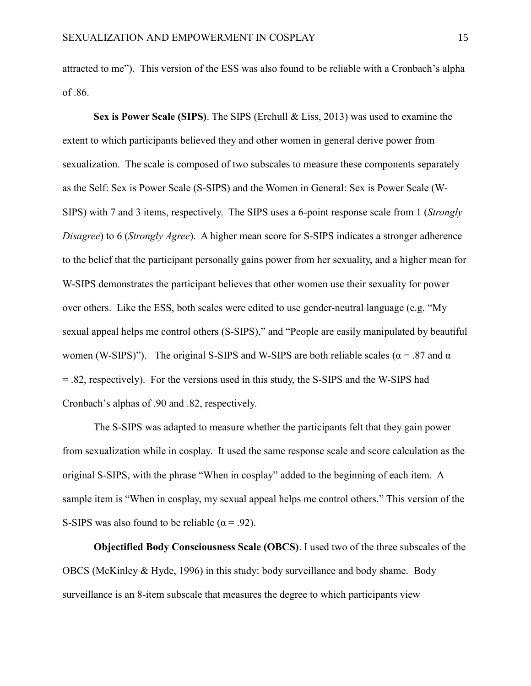attracted to me"). This version of the ESS was also found to be reliable with a Cronbach's alpha of .86.

**Sex is Power Scale (SIPS)**. The SIPS (Erchull & Liss, 2013) was used to examine the extent to which participants believed they and other women in general derive power from sexualization. The scale is composed of two subscales to measure these components separately as the Self: Sex is Power Scale (S-SIPS) and the Women in General: Sex is Power Scale (W-SIPS) with 7 and 3 items, respectively. The SIPS uses a 6-point response scale from 1 (*Strongly Disagree*) to 6 (*Strongly Agree*). A higher mean score for S-SIPS indicates a stronger adherence to the belief that the participant personally gains power from her sexuality, and a higher mean for W-SIPS demonstrates the participant believes that other women use their sexuality for power over others. Like the ESS, both scales were edited to use gender-neutral language (e.g. "My sexual appeal helps me control others (S-SIPS)," and "People are easily manipulated by beautiful women (W-SIPS)"). The original S-SIPS and W-SIPS are both reliable scales ( $\alpha$  = .87 and  $\alpha$ = .82, respectively). For the versions used in this study, the S-SIPS and the W-SIPS had Cronbach's alphas of .90 and .82, respectively.

The S-SIPS was adapted to measure whether the participants felt that they gain power from sexualization while in cosplay. It used the same response scale and score calculation as the original S-SIPS, with the phrase "When in cosplay" added to the beginning of each item. A sample item is "When in cosplay, my sexual appeal helps me control others." This version of the S-SIPS was also found to be reliable ( $\alpha$  = .92).

**Objectified Body Consciousness Scale (OBCS)**. I used two of the three subscales of the OBCS (McKinley & Hyde, 1996) in this study: body surveillance and body shame. Body surveillance is an 8-item subscale that measures the degree to which participants view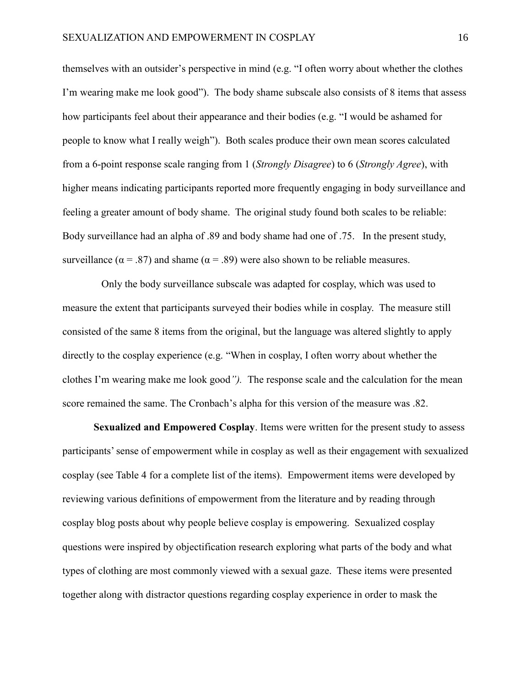themselves with an outsider's perspective in mind (e.g. "I often worry about whether the clothes I'm wearing make me look good"). The body shame subscale also consists of 8 items that assess how participants feel about their appearance and their bodies (e.g. "I would be ashamed for people to know what I really weigh"). Both scales produce their own mean scores calculated from a 6-point response scale ranging from 1 (*Strongly Disagree*) to 6 (*Strongly Agree*), with higher means indicating participants reported more frequently engaging in body surveillance and feeling a greater amount of body shame. The original study found both scales to be reliable: Body surveillance had an alpha of .89 and body shame had one of .75. In the present study, surveillance ( $\alpha$  = .87) and shame ( $\alpha$  = .89) were also shown to be reliable measures.

 Only the body surveillance subscale was adapted for cosplay, which was used to measure the extent that participants surveyed their bodies while in cosplay. The measure still consisted of the same 8 items from the original, but the language was altered slightly to apply directly to the cosplay experience (e.g. "When in cosplay, I often worry about whether the clothes I'm wearing make me look good*").* The response scale and the calculation for the mean score remained the same. The Cronbach's alpha for this version of the measure was .82.

**Sexualized and Empowered Cosplay**. Items were written for the present study to assess participants' sense of empowerment while in cosplay as well as their engagement with sexualized cosplay (see Table 4 for a complete list of the items). Empowerment items were developed by reviewing various definitions of empowerment from the literature and by reading through cosplay blog posts about why people believe cosplay is empowering. Sexualized cosplay questions were inspired by objectification research exploring what parts of the body and what types of clothing are most commonly viewed with a sexual gaze. These items were presented together along with distractor questions regarding cosplay experience in order to mask the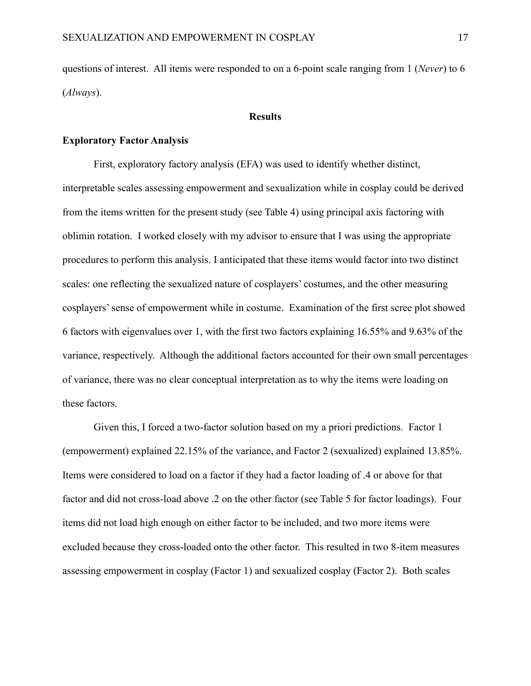questions of interest. All items were responded to on a 6-point scale ranging from 1 (*Never*) to 6 (*Always*).

#### **Results**

### **Exploratory Factor Analysis**

First, exploratory factory analysis (EFA) was used to identify whether distinct, interpretable scales assessing empowerment and sexualization while in cosplay could be derived from the items written for the present study (see Table 4) using principal axis factoring with oblimin rotation. I worked closely with my advisor to ensure that I was using the appropriate procedures to perform this analysis. I anticipated that these items would factor into two distinct scales: one reflecting the sexualized nature of cosplayers' costumes, and the other measuring cosplayers' sense of empowerment while in costume. Examination of the first scree plot showed 6 factors with eigenvalues over 1, with the first two factors explaining 16.55% and 9.63% of the variance, respectively. Although the additional factors accounted for their own small percentages of variance, there was no clear conceptual interpretation as to why the items were loading on these factors.

Given this, I forced a two-factor solution based on my a priori predictions. Factor 1 (empowerment) explained 22.15% of the variance, and Factor 2 (sexualized) explained 13.85%. Items were considered to load on a factor if they had a factor loading of .4 or above for that factor and did not cross-load above .2 on the other factor (see Table 5 for factor loadings). Four items did not load high enough on either factor to be included, and two more items were excluded because they cross-loaded onto the other factor. This resulted in two 8-item measures assessing empowerment in cosplay (Factor 1) and sexualized cosplay (Factor 2). Both scales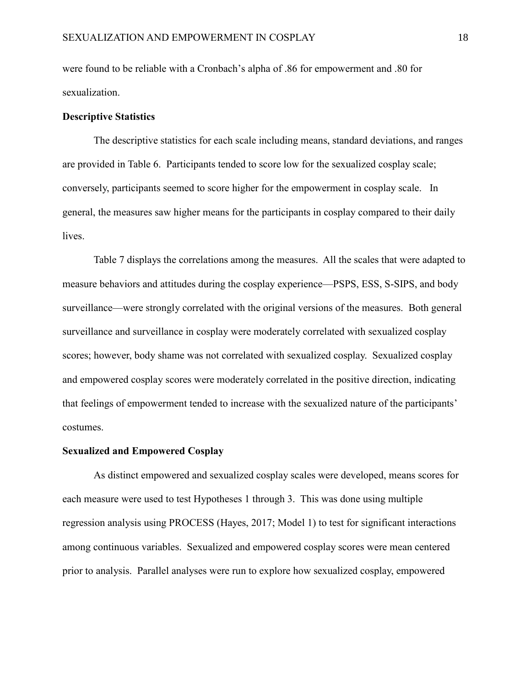were found to be reliable with a Cronbach's alpha of .86 for empowerment and .80 for sexualization.

### **Descriptive Statistics**

The descriptive statistics for each scale including means, standard deviations, and ranges are provided in Table 6. Participants tended to score low for the sexualized cosplay scale; conversely, participants seemed to score higher for the empowerment in cosplay scale. In general, the measures saw higher means for the participants in cosplay compared to their daily lives.

Table 7 displays the correlations among the measures. All the scales that were adapted to measure behaviors and attitudes during the cosplay experience—PSPS, ESS, S-SIPS, and body surveillance—were strongly correlated with the original versions of the measures. Both general surveillance and surveillance in cosplay were moderately correlated with sexualized cosplay scores; however, body shame was not correlated with sexualized cosplay. Sexualized cosplay and empowered cosplay scores were moderately correlated in the positive direction, indicating that feelings of empowerment tended to increase with the sexualized nature of the participants' costumes.

### **Sexualized and Empowered Cosplay**

As distinct empowered and sexualized cosplay scales were developed, means scores for each measure were used to test Hypotheses 1 through 3. This was done using multiple regression analysis using PROCESS (Hayes, 2017; Model 1) to test for significant interactions among continuous variables. Sexualized and empowered cosplay scores were mean centered prior to analysis. Parallel analyses were run to explore how sexualized cosplay, empowered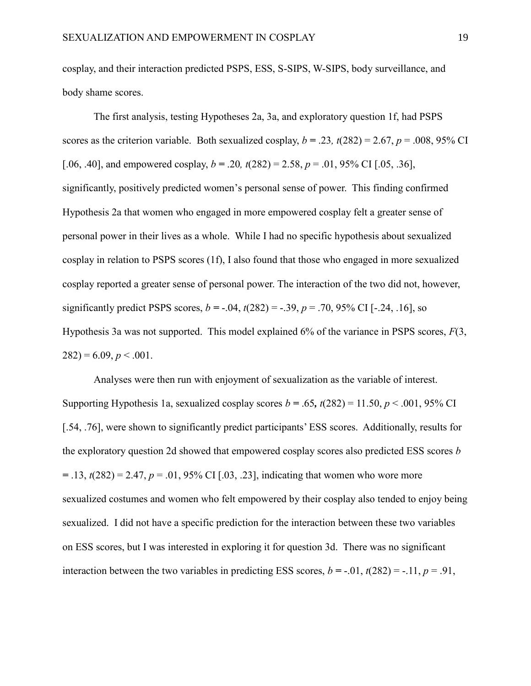cosplay, and their interaction predicted PSPS, ESS, S-SIPS, W-SIPS, body surveillance, and body shame scores.

The first analysis, testing Hypotheses 2a, 3a, and exploratory question 1f, had PSPS scores as the criterion variable. Both sexualized cosplay,  $b = .23$ ,  $t(282) = 2.67$ ,  $p = .008$ , 95% CI [.06, .40], and empowered cosplay,  $b = .20$ ,  $t(282) = 2.58$ ,  $p = .01$ , 95% CI [.05, .36], significantly, positively predicted women's personal sense of power. This finding confirmed Hypothesis 2a that women who engaged in more empowered cosplay felt a greater sense of personal power in their lives as a whole. While I had no specific hypothesis about sexualized cosplay in relation to PSPS scores (1f), I also found that those who engaged in more sexualized cosplay reported a greater sense of personal power. The interaction of the two did not, however, significantly predict PSPS scores,  $b = -0.04$ ,  $t(282) = -0.39$ ,  $p = 0.70$ ,  $95\%$  CI [ $-0.24$ ,  $-0.16$ ], so Hypothesis 3a was not supported. This model explained 6% of the variance in PSPS scores, *F*(3,  $282$ ) = 6.09, *p* < .001.

Analyses were then run with enjoyment of sexualization as the variable of interest. Supporting Hypothesis 1a, sexualized cosplay scores  $b = .65$ ,  $t(282) = 11.50$ ,  $p < .001$ , 95% CI [.54, .76], were shown to significantly predict participants' ESS scores. Additionally, results for the exploratory question 2d showed that empowered cosplay scores also predicted ESS scores *b*   $= .13$ ,  $t(282) = 2.47$ ,  $p = .01$ , 95% CI [.03, .23], indicating that women who wore more sexualized costumes and women who felt empowered by their cosplay also tended to enjoy being sexualized. I did not have a specific prediction for the interaction between these two variables on ESS scores, but I was interested in exploring it for question 3d. There was no significant interaction between the two variables in predicting ESS scores,  $b = -0.01$ ,  $t(282) = -0.11$ ,  $p = 0.91$ ,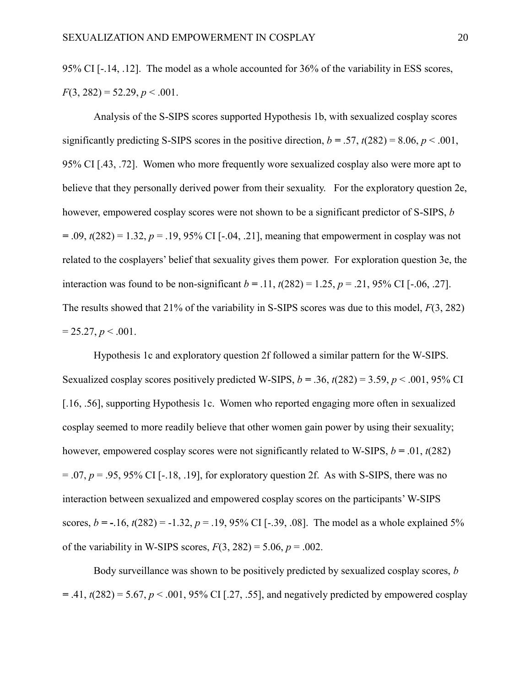95% CI [-.14, .12]. The model as a whole accounted for 36% of the variability in ESS scores,  $F(3, 282) = 52.29, p < .001.$ 

Analysis of the S-SIPS scores supported Hypothesis 1b, with sexualized cosplay scores significantly predicting S-SIPS scores in the positive direction,  $b = .57$ ,  $t(282) = 8.06$ ,  $p < .001$ , 95% CI [.43, .72]. Women who more frequently wore sexualized cosplay also were more apt to believe that they personally derived power from their sexuality. For the exploratory question 2e, however, empowered cosplay scores were not shown to be a significant predictor of S-SIPS, *b*   $= .09$ ,  $t(282) = 1.32$ ,  $p = .19$ , 95% CI [-.04, .21], meaning that empowerment in cosplay was not related to the cosplayers' belief that sexuality gives them power. For exploration question 3e, the interaction was found to be non-significant  $b = .11$ ,  $t(282) = 1.25$ ,  $p = .21$ , 95% CI [-.06, .27]. The results showed that 21% of the variability in S-SIPS scores was due to this model, *F*(3, 282)  $= 25.27, p < .001.$ 

Hypothesis 1c and exploratory question 2f followed a similar pattern for the W-SIPS. Sexualized cosplay scores positively predicted W-SIPS,  $b = .36$ ,  $t(282) = 3.59$ ,  $p < .001$ , 95% CI [.16, .56], supporting Hypothesis 1c. Women who reported engaging more often in sexualized cosplay seemed to more readily believe that other women gain power by using their sexuality; however, empowered cosplay scores were not significantly related to W-SIPS,  $b = .01$ ,  $t(282)$  $= .07$ ,  $p = .95$ , 95% CI [-.18, .19], for exploratory question 2f. As with S-SIPS, there was no interaction between sexualized and empowered cosplay scores on the participants' W-SIPS scores,  $b = -16$ ,  $t(282) = -1.32$ ,  $p = 0.19$ ,  $95\%$  CI [ $-0.39$ ,  $0.08$ ]. The model as a whole explained 5% of the variability in W-SIPS scores,  $F(3, 282) = 5.06$ ,  $p = .002$ .

Body surveillance was shown to be positively predicted by sexualized cosplay scores, *b*   $=$  .41,  $t(282) = 5.67, p < .001, 95\%$  CI [.27, .55], and negatively predicted by empowered cosplay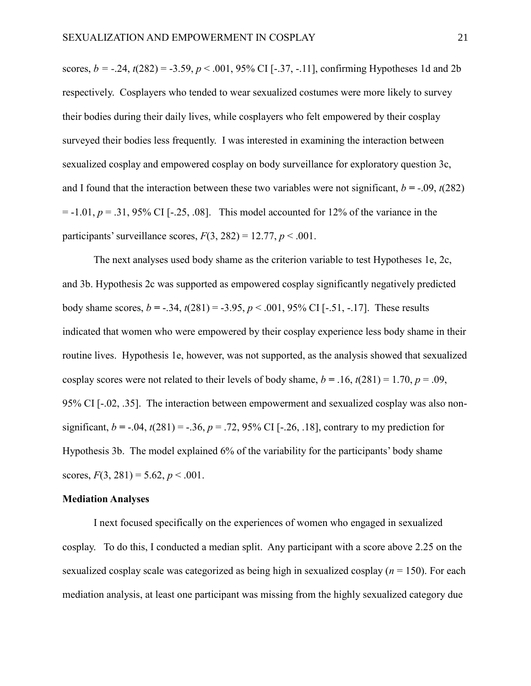scores,  $b = -0.24$ ,  $t(282) = -3.59$ ,  $p < 0.001$ ,  $95\%$  CI [ $-0.37$ ,  $-0.11$ ], confirming Hypotheses 1d and 2b respectively. Cosplayers who tended to wear sexualized costumes were more likely to survey their bodies during their daily lives, while cosplayers who felt empowered by their cosplay surveyed their bodies less frequently. I was interested in examining the interaction between sexualized cosplay and empowered cosplay on body surveillance for exploratory question 3c, and I found that the interaction between these two variables were not significant,  $b = -0.09$ ,  $t(282)$  $= -1.01, p = .31, 95\% \text{ CI}$  [ $-.25, .08$ ]. This model accounted for 12% of the variance in the participants' surveillance scores,  $F(3, 282) = 12.77$ ,  $p < .001$ .

The next analyses used body shame as the criterion variable to test Hypotheses 1e, 2c, and 3b. Hypothesis 2c was supported as empowered cosplay significantly negatively predicted body shame scores,  $b = -.34$ ,  $t(281) = -3.95$ ,  $p < .001$ ,  $95\%$  CI [-.51, -.17]. These results indicated that women who were empowered by their cosplay experience less body shame in their routine lives. Hypothesis 1e, however, was not supported, as the analysis showed that sexualized cosplay scores were not related to their levels of body shame,  $b = .16$ ,  $t(281) = 1.70$ ,  $p = .09$ , 95% CI [-.02, .35]. The interaction between empowerment and sexualized cosplay was also nonsignificant,  $b = -0.04$ ,  $t(281) = -0.36$ ,  $p = 0.72$ ,  $95\%$  CI [ $-0.26$ ,  $0.18$ ], contrary to my prediction for Hypothesis 3b. The model explained 6% of the variability for the participants' body shame scores,  $F(3, 281) = 5.62, p < .001$ .

#### **Mediation Analyses**

I next focused specifically on the experiences of women who engaged in sexualized cosplay. To do this, I conducted a median split. Any participant with a score above 2.25 on the sexualized cosplay scale was categorized as being high in sexualized cosplay (*n* = 150). For each mediation analysis, at least one participant was missing from the highly sexualized category due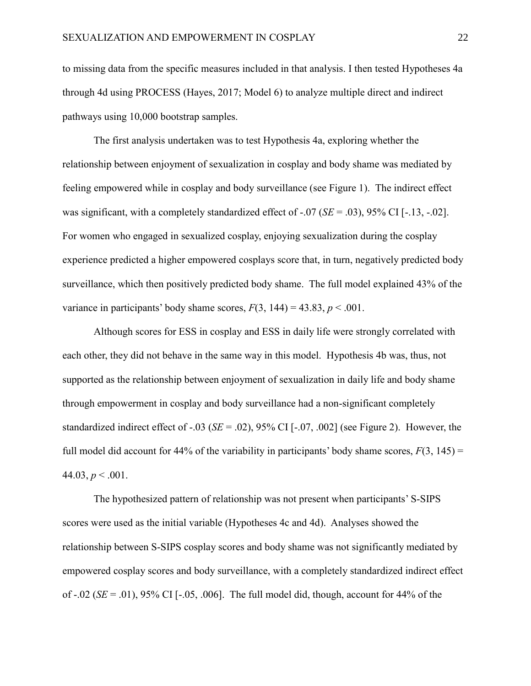to missing data from the specific measures included in that analysis. I then tested Hypotheses 4a through 4d using PROCESS (Hayes, 2017; Model 6) to analyze multiple direct and indirect pathways using 10,000 bootstrap samples.

The first analysis undertaken was to test Hypothesis 4a, exploring whether the relationship between enjoyment of sexualization in cosplay and body shame was mediated by feeling empowered while in cosplay and body surveillance (see Figure 1). The indirect effect was significant, with a completely standardized effect of -.07 (*SE* = .03), 95% CI [-.13, -.02]. For women who engaged in sexualized cosplay, enjoying sexualization during the cosplay experience predicted a higher empowered cosplays score that, in turn, negatively predicted body surveillance, which then positively predicted body shame. The full model explained 43% of the variance in participants' body shame scores,  $F(3, 144) = 43.83$ ,  $p < .001$ .

Although scores for ESS in cosplay and ESS in daily life were strongly correlated with each other, they did not behave in the same way in this model. Hypothesis 4b was, thus, not supported as the relationship between enjoyment of sexualization in daily life and body shame through empowerment in cosplay and body surveillance had a non-significant completely standardized indirect effect of -.03 (*SE* = .02), 95% CI [-.07, .002] (see Figure 2). However, the full model did account for 44% of the variability in participants' body shame scores,  $F(3, 145) =$ 44.03,  $p < .001$ .

The hypothesized pattern of relationship was not present when participants' S-SIPS scores were used as the initial variable (Hypotheses 4c and 4d). Analyses showed the relationship between S-SIPS cosplay scores and body shame was not significantly mediated by empowered cosplay scores and body surveillance, with a completely standardized indirect effect of -.02 (*SE* = .01), 95% CI [-.05, .006]. The full model did, though, account for 44% of the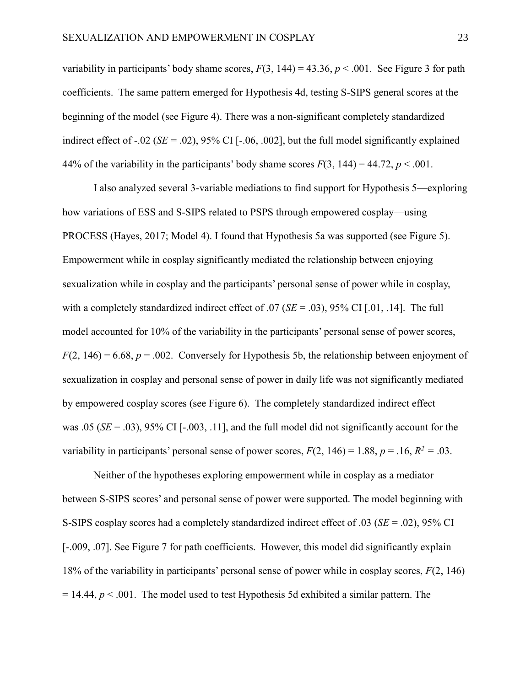variability in participants' body shame scores,  $F(3, 144) = 43.36$ ,  $p < .001$ . See Figure 3 for path coefficients. The same pattern emerged for Hypothesis 4d, testing S-SIPS general scores at the beginning of the model (see Figure 4). There was a non-significant completely standardized indirect effect of -.02 (*SE* = .02), 95% CI [-.06, .002], but the full model significantly explained 44% of the variability in the participants' body shame scores  $F(3, 144) = 44.72$ ,  $p < .001$ .

I also analyzed several 3-variable mediations to find support for Hypothesis 5—exploring how variations of ESS and S-SIPS related to PSPS through empowered cosplay—using PROCESS (Hayes, 2017; Model 4). I found that Hypothesis 5a was supported (see Figure 5). Empowerment while in cosplay significantly mediated the relationship between enjoying sexualization while in cosplay and the participants' personal sense of power while in cosplay, with a completely standardized indirect effect of .07 (*SE* = .03), 95% CI [.01, .14]. The full model accounted for 10% of the variability in the participants' personal sense of power scores,  $F(2, 146) = 6.68$ ,  $p = .002$ . Conversely for Hypothesis 5b, the relationship between enjoyment of sexualization in cosplay and personal sense of power in daily life was not significantly mediated by empowered cosplay scores (see Figure 6). The completely standardized indirect effect was .05 ( $SE = .03$ ), 95% CI [ $-.003, .11$ ], and the full model did not significantly account for the variability in participants' personal sense of power scores,  $F(2, 146) = 1.88$ ,  $p = .16$ ,  $R^2 = .03$ .

Neither of the hypotheses exploring empowerment while in cosplay as a mediator between S-SIPS scores' and personal sense of power were supported. The model beginning with S-SIPS cosplay scores had a completely standardized indirect effect of .03 (*SE* = .02), 95% CI [-.009, .07]. See Figure 7 for path coefficients. However, this model did significantly explain 18% of the variability in participants' personal sense of power while in cosplay scores, *F*(2, 146)  $= 14.44$ ,  $p < .001$ . The model used to test Hypothesis 5d exhibited a similar pattern. The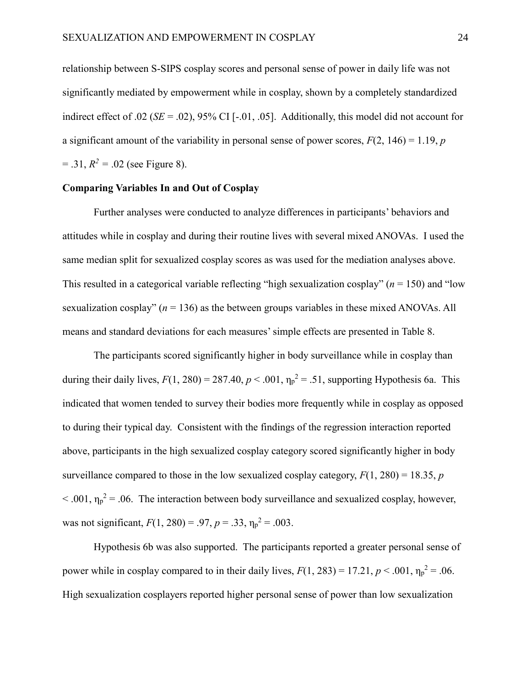relationship between S-SIPS cosplay scores and personal sense of power in daily life was not significantly mediated by empowerment while in cosplay, shown by a completely standardized indirect effect of .02 ( $SE = .02$ ), 95% CI [-.01, .05]. Additionally, this model did not account for a significant amount of the variability in personal sense of power scores,  $F(2, 146) = 1.19$ , *p*  $= .31, R<sup>2</sup> = .02$  (see Figure 8).

### **Comparing Variables In and Out of Cosplay**

Further analyses were conducted to analyze differences in participants' behaviors and attitudes while in cosplay and during their routine lives with several mixed ANOVAs. I used the same median split for sexualized cosplay scores as was used for the mediation analyses above. This resulted in a categorical variable reflecting "high sexualization cosplay" (*n* = 150) and "low sexualization cosplay"  $(n = 136)$  as the between groups variables in these mixed ANOVAs. All means and standard deviations for each measures'simple effects are presented in Table 8.

The participants scored significantly higher in body surveillance while in cosplay than during their daily lives,  $F(1, 280) = 287.40$ ,  $p < .001$ ,  $\eta_p^2 = .51$ , supporting Hypothesis 6a. This indicated that women tended to survey their bodies more frequently while in cosplay as opposed to during their typical day. Consistent with the findings of the regression interaction reported above, participants in the high sexualized cosplay category scored significantly higher in body surveillance compared to those in the low sexualized cosplay category,  $F(1, 280) = 18.35$ , *p*  $< .001$ ,  $\eta_p^2 = .06$ . The interaction between body surveillance and sexualized cosplay, however, was not significant,  $F(1, 280) = .97$ ,  $p = .33$ ,  $\eta_p^2 = .003$ .

Hypothesis 6b was also supported. The participants reported a greater personal sense of power while in cosplay compared to in their daily lives,  $F(1, 283) = 17.21$ ,  $p < .001$ ,  $\eta_p^2 = .06$ . High sexualization cosplayers reported higher personal sense of power than low sexualization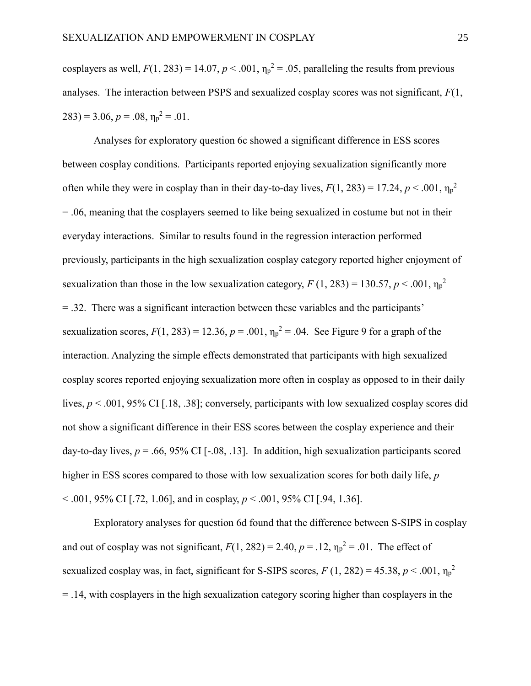cosplayers as well,  $F(1, 283) = 14.07$ ,  $p < .001$ ,  $\eta_p^2 = .05$ , paralleling the results from previous analyses. The interaction between PSPS and sexualized cosplay scores was not significant, *F*(1,  $(283) = 3.06, p = .08, \eta_p^2 = .01.$ 

Analyses for exploratory question 6c showed a significant difference in ESS scores between cosplay conditions. Participants reported enjoying sexualization significantly more often while they were in cosplay than in their day-to-day lives,  $F(1, 283) = 17.24$ ,  $p < .001$ ,  $\eta_p^2$ = .06, meaning that the cosplayers seemed to like being sexualized in costume but not in their everyday interactions. Similar to results found in the regression interaction performed previously, participants in the high sexualization cosplay category reported higher enjoyment of sexualization than those in the low sexualization category,  $F(1, 283) = 130.57, p < .001, \eta_p^2$ = .32. There was a significant interaction between these variables and the participants' sexualization scores,  $F(1, 283) = 12.36$ ,  $p = .001$ ,  $\eta_p^2 = .04$ . See Figure 9 for a graph of the interaction. Analyzing the simple effects demonstrated that participants with high sexualized cosplay scores reported enjoying sexualization more often in cosplay as opposed to in their daily lives,  $p < .001$ , 95% CI [.18, .38]; conversely, participants with low sexualized cosplay scores did not show a significant difference in their ESS scores between the cosplay experience and their day-to-day lives,  $p = .66, 95\%$  CI [ $-.08, .13$ ]. In addition, high sexualization participants scored higher in ESS scores compared to those with low sexualization scores for both daily life, *p* < .001, 95% CI [.72, 1.06], and in cosplay, *p* < .001, 95% CI [.94, 1.36].

Exploratory analyses for question 6d found that the difference between S-SIPS in cosplay and out of cosplay was not significant,  $F(1, 282) = 2.40$ ,  $p = .12$ ,  $\eta_p^2 = .01$ . The effect of sexualized cosplay was, in fact, significant for S-SIPS scores,  $F(1, 282) = 45.38, p < .001, \eta_p^2$ = .14, with cosplayers in the high sexualization category scoring higher than cosplayers in the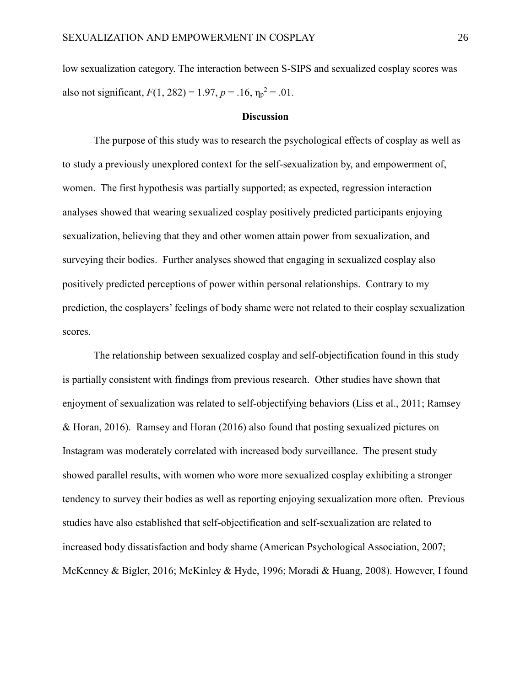low sexualization category. The interaction between S-SIPS and sexualized cosplay scores was also not significant,  $F(1, 282) = 1.97$ ,  $p = .16$ ,  $\eta_p^2 = .01$ .

#### **Discussion**

The purpose of this study was to research the psychological effects of cosplay as well as to study a previously unexplored context for the self-sexualization by, and empowerment of, women. The first hypothesis was partially supported; as expected, regression interaction analyses showed that wearing sexualized cosplay positively predicted participants enjoying sexualization, believing that they and other women attain power from sexualization, and surveying their bodies. Further analyses showed that engaging in sexualized cosplay also positively predicted perceptions of power within personal relationships. Contrary to my prediction, the cosplayers' feelings of body shame were not related to their cosplay sexualization scores.

The relationship between sexualized cosplay and self-objectification found in this study is partially consistent with findings from previous research. Other studies have shown that enjoyment of sexualization was related to self-objectifying behaviors (Liss et al., 2011; Ramsey & Horan, 2016). Ramsey and Horan (2016) also found that posting sexualized pictures on Instagram was moderately correlated with increased body surveillance. The present study showed parallel results, with women who wore more sexualized cosplay exhibiting a stronger tendency to survey their bodies as well as reporting enjoying sexualization more often. Previous studies have also established that self-objectification and self-sexualization are related to increased body dissatisfaction and body shame (American Psychological Association, 2007; McKenney & Bigler, 2016; McKinley & Hyde, 1996; Moradi & Huang, 2008). However, I found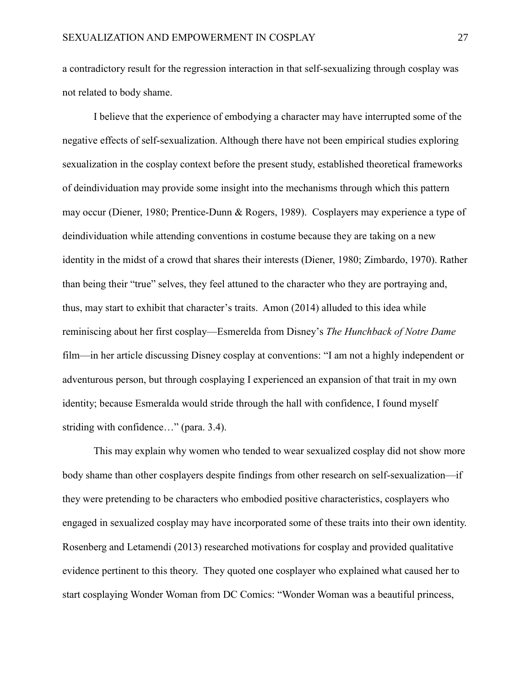a contradictory result for the regression interaction in that self-sexualizing through cosplay was not related to body shame.

I believe that the experience of embodying a character may have interrupted some of the negative effects of self-sexualization. Although there have not been empirical studies exploring sexualization in the cosplay context before the present study, established theoretical frameworks of deindividuation may provide some insight into the mechanisms through which this pattern may occur (Diener, 1980; Prentice-Dunn & Rogers, 1989). Cosplayers may experience a type of deindividuation while attending conventions in costume because they are taking on a new identity in the midst of a crowd that shares their interests (Diener, 1980; Zimbardo, 1970). Rather than being their "true" selves, they feel attuned to the character who they are portraying and, thus, may start to exhibit that character's traits. Amon (2014) alluded to this idea while reminiscing about her first cosplay—Esmerelda from Disney's *The Hunchback of Notre Dame* film—in her article discussing Disney cosplay at conventions: "I am not a highly independent or adventurous person, but through cosplaying I experienced an expansion of that trait in my own identity; because Esmeralda would stride through the hall with confidence, I found myself striding with confidence…" (para. 3.4).

This may explain why women who tended to wear sexualized cosplay did not show more body shame than other cosplayers despite findings from other research on self-sexualization—if they were pretending to be characters who embodied positive characteristics, cosplayers who engaged in sexualized cosplay may have incorporated some of these traits into their own identity. Rosenberg and Letamendi (2013) researched motivations for cosplay and provided qualitative evidence pertinent to this theory. They quoted one cosplayer who explained what caused her to start cosplaying Wonder Woman from DC Comics: "Wonder Woman was a beautiful princess,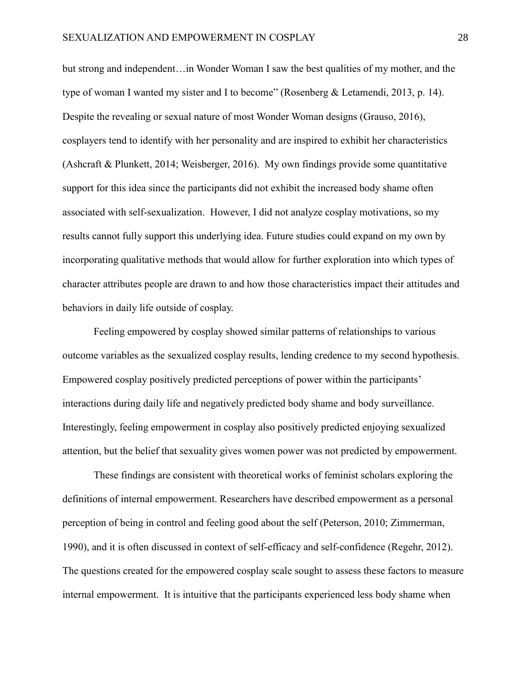but strong and independent…in Wonder Woman I saw the best qualities of my mother, and the type of woman I wanted my sister and I to become" (Rosenberg & Letamendi, 2013, p. 14). Despite the revealing or sexual nature of most Wonder Woman designs (Grauso, 2016), cosplayers tend to identify with her personality and are inspired to exhibit her characteristics (Ashcraft & Plunkett, 2014; Weisberger, 2016). My own findings provide some quantitative support for this idea since the participants did not exhibit the increased body shame often associated with self-sexualization. However, I did not analyze cosplay motivations, so my results cannot fully support this underlying idea. Future studies could expand on my own by incorporating qualitative methods that would allow for further exploration into which types of character attributes people are drawn to and how those characteristics impact their attitudes and behaviors in daily life outside of cosplay.

Feeling empowered by cosplay showed similar patterns of relationships to various outcome variables as the sexualized cosplay results, lending credence to my second hypothesis. Empowered cosplay positively predicted perceptions of power within the participants' interactions during daily life and negatively predicted body shame and body surveillance. Interestingly, feeling empowerment in cosplay also positively predicted enjoying sexualized attention, but the belief that sexuality gives women power was not predicted by empowerment.

These findings are consistent with theoretical works of feminist scholars exploring the definitions of internal empowerment. Researchers have described empowerment as a personal perception of being in control and feeling good about the self (Peterson, 2010; Zimmerman, 1990), and it is often discussed in context of self-efficacy and self-confidence (Regehr, 2012). The questions created for the empowered cosplay scale sought to assess these factors to measure internal empowerment. It is intuitive that the participants experienced less body shame when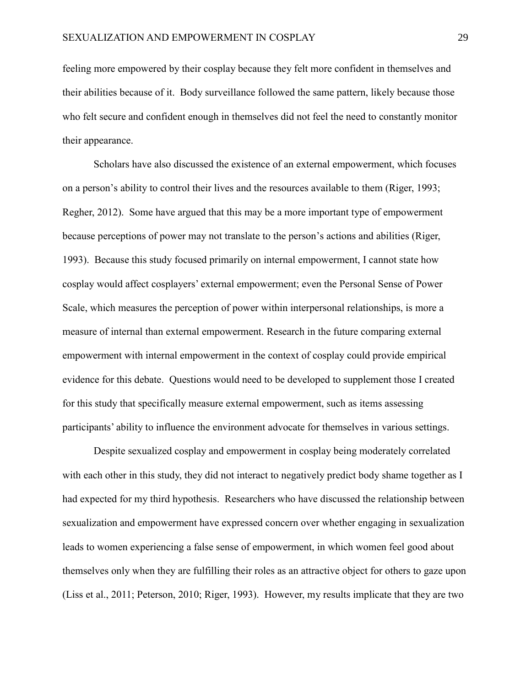feeling more empowered by their cosplay because they felt more confident in themselves and their abilities because of it. Body surveillance followed the same pattern, likely because those who felt secure and confident enough in themselves did not feel the need to constantly monitor their appearance.

Scholars have also discussed the existence of an external empowerment, which focuses on a person's ability to control their lives and the resources available to them (Riger, 1993; Regher, 2012). Some have argued that this may be a more important type of empowerment because perceptions of power may not translate to the person's actions and abilities (Riger, 1993). Because this study focused primarily on internal empowerment, I cannot state how cosplay would affect cosplayers' external empowerment; even the Personal Sense of Power Scale, which measures the perception of power within interpersonal relationships, is more a measure of internal than external empowerment. Research in the future comparing external empowerment with internal empowerment in the context of cosplay could provide empirical evidence for this debate. Questions would need to be developed to supplement those I created for this study that specifically measure external empowerment, such as items assessing participants' ability to influence the environment advocate for themselves in various settings.

Despite sexualized cosplay and empowerment in cosplay being moderately correlated with each other in this study, they did not interact to negatively predict body shame together as I had expected for my third hypothesis. Researchers who have discussed the relationship between sexualization and empowerment have expressed concern over whether engaging in sexualization leads to women experiencing a false sense of empowerment, in which women feel good about themselves only when they are fulfilling their roles as an attractive object for others to gaze upon (Liss et al., 2011; Peterson, 2010; Riger, 1993). However, my results implicate that they are two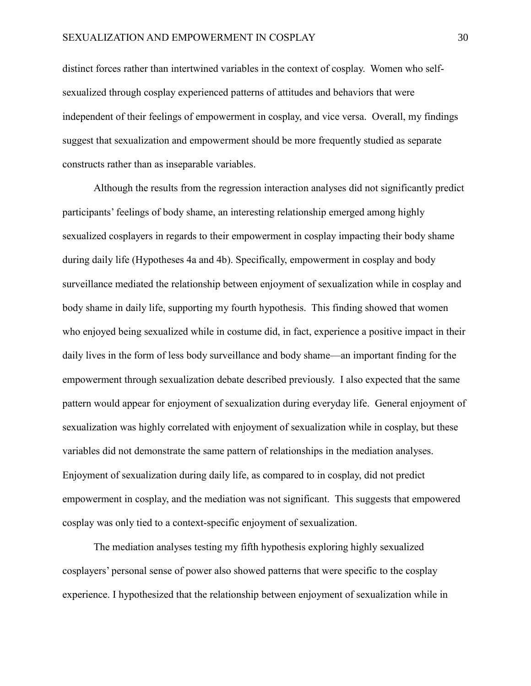distinct forces rather than intertwined variables in the context of cosplay. Women who selfsexualized through cosplay experienced patterns of attitudes and behaviors that were independent of their feelings of empowerment in cosplay, and vice versa. Overall, my findings suggest that sexualization and empowerment should be more frequently studied as separate constructs rather than as inseparable variables.

Although the results from the regression interaction analyses did not significantly predict participants' feelings of body shame, an interesting relationship emerged among highly sexualized cosplayers in regards to their empowerment in cosplay impacting their body shame during daily life (Hypotheses 4a and 4b). Specifically, empowerment in cosplay and body surveillance mediated the relationship between enjoyment of sexualization while in cosplay and body shame in daily life, supporting my fourth hypothesis. This finding showed that women who enjoyed being sexualized while in costume did, in fact, experience a positive impact in their daily lives in the form of less body surveillance and body shame—an important finding for the empowerment through sexualization debate described previously. I also expected that the same pattern would appear for enjoyment of sexualization during everyday life. General enjoyment of sexualization was highly correlated with enjoyment of sexualization while in cosplay, but these variables did not demonstrate the same pattern of relationships in the mediation analyses. Enjoyment of sexualization during daily life, as compared to in cosplay, did not predict empowerment in cosplay, and the mediation was not significant. This suggests that empowered cosplay was only tied to a context-specific enjoyment of sexualization.

The mediation analyses testing my fifth hypothesis exploring highly sexualized cosplayers' personal sense of power also showed patterns that were specific to the cosplay experience. I hypothesized that the relationship between enjoyment of sexualization while in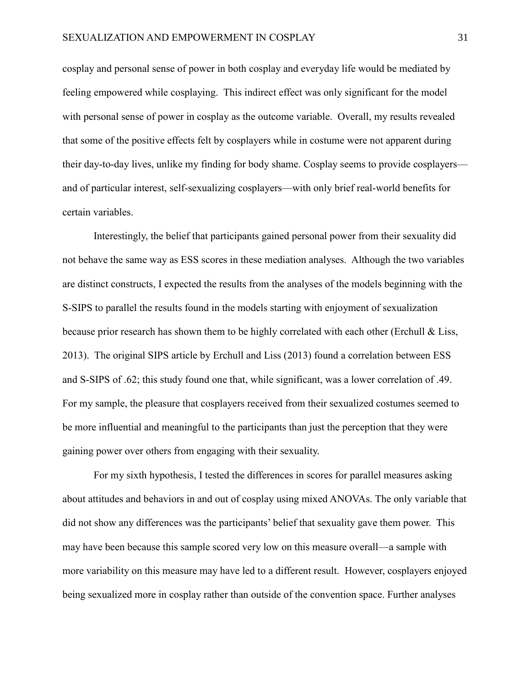cosplay and personal sense of power in both cosplay and everyday life would be mediated by feeling empowered while cosplaying. This indirect effect was only significant for the model with personal sense of power in cosplay as the outcome variable. Overall, my results revealed that some of the positive effects felt by cosplayers while in costume were not apparent during their day-to-day lives, unlike my finding for body shame. Cosplay seems to provide cosplayers and of particular interest, self-sexualizing cosplayers—with only brief real-world benefits for certain variables.

Interestingly, the belief that participants gained personal power from their sexuality did not behave the same way as ESS scores in these mediation analyses. Although the two variables are distinct constructs, I expected the results from the analyses of the models beginning with the S-SIPS to parallel the results found in the models starting with enjoyment of sexualization because prior research has shown them to be highly correlated with each other (Erchull & Liss, 2013). The original SIPS article by Erchull and Liss (2013) found a correlation between ESS and S-SIPS of .62; this study found one that, while significant, was a lower correlation of .49. For my sample, the pleasure that cosplayers received from their sexualized costumes seemed to be more influential and meaningful to the participants than just the perception that they were gaining power over others from engaging with their sexuality.

For my sixth hypothesis, I tested the differences in scores for parallel measures asking about attitudes and behaviors in and out of cosplay using mixed ANOVAs. The only variable that did not show any differences was the participants' belief that sexuality gave them power. This may have been because this sample scored very low on this measure overall—a sample with more variability on this measure may have led to a different result. However, cosplayers enjoyed being sexualized more in cosplay rather than outside of the convention space. Further analyses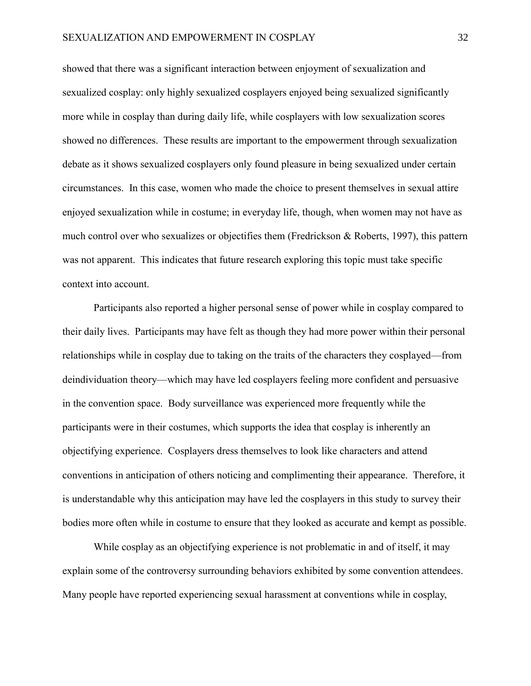showed that there was a significant interaction between enjoyment of sexualization and sexualized cosplay: only highly sexualized cosplayers enjoyed being sexualized significantly more while in cosplay than during daily life, while cosplayers with low sexualization scores showed no differences. These results are important to the empowerment through sexualization debate as it shows sexualized cosplayers only found pleasure in being sexualized under certain circumstances. In this case, women who made the choice to present themselves in sexual attire enjoyed sexualization while in costume; in everyday life, though, when women may not have as much control over who sexualizes or objectifies them (Fredrickson & Roberts, 1997), this pattern was not apparent. This indicates that future research exploring this topic must take specific context into account.

Participants also reported a higher personal sense of power while in cosplay compared to their daily lives. Participants may have felt as though they had more power within their personal relationships while in cosplay due to taking on the traits of the characters they cosplayed—from deindividuation theory—which may have led cosplayers feeling more confident and persuasive in the convention space. Body surveillance was experienced more frequently while the participants were in their costumes, which supports the idea that cosplay is inherently an objectifying experience. Cosplayers dress themselves to look like characters and attend conventions in anticipation of others noticing and complimenting their appearance. Therefore, it is understandable why this anticipation may have led the cosplayers in this study to survey their bodies more often while in costume to ensure that they looked as accurate and kempt as possible.

While cosplay as an objectifying experience is not problematic in and of itself, it may explain some of the controversy surrounding behaviors exhibited by some convention attendees. Many people have reported experiencing sexual harassment at conventions while in cosplay,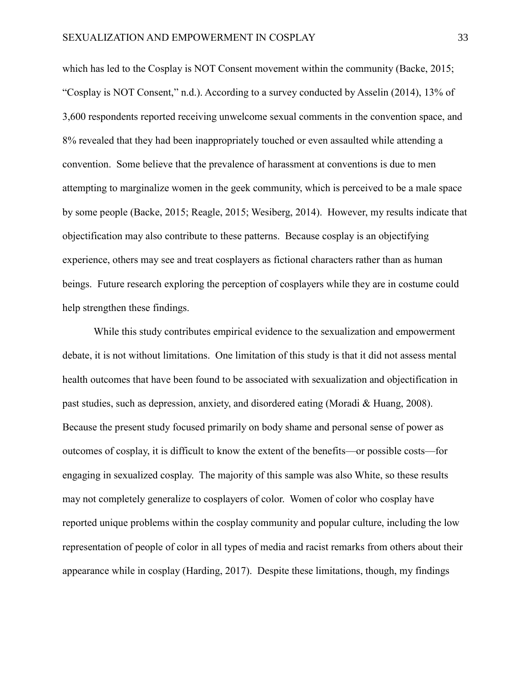which has led to the Cosplay is NOT Consent movement within the community (Backe, 2015; "Cosplay is NOT Consent," n.d.). According to a survey conducted by Asselin (2014), 13% of 3,600 respondents reported receiving unwelcome sexual comments in the convention space, and 8% revealed that they had been inappropriately touched or even assaulted while attending a convention. Some believe that the prevalence of harassment at conventions is due to men attempting to marginalize women in the geek community, which is perceived to be a male space by some people (Backe, 2015; Reagle, 2015; Wesiberg, 2014). However, my results indicate that objectification may also contribute to these patterns. Because cosplay is an objectifying experience, others may see and treat cosplayers as fictional characters rather than as human beings. Future research exploring the perception of cosplayers while they are in costume could help strengthen these findings.

While this study contributes empirical evidence to the sexualization and empowerment debate, it is not without limitations. One limitation of this study is that it did not assess mental health outcomes that have been found to be associated with sexualization and objectification in past studies, such as depression, anxiety, and disordered eating (Moradi & Huang, 2008). Because the present study focused primarily on body shame and personal sense of power as outcomes of cosplay, it is difficult to know the extent of the benefits—or possible costs—for engaging in sexualized cosplay. The majority of this sample was also White, so these results may not completely generalize to cosplayers of color. Women of color who cosplay have reported unique problems within the cosplay community and popular culture, including the low representation of people of color in all types of media and racist remarks from others about their appearance while in cosplay (Harding, 2017). Despite these limitations, though, my findings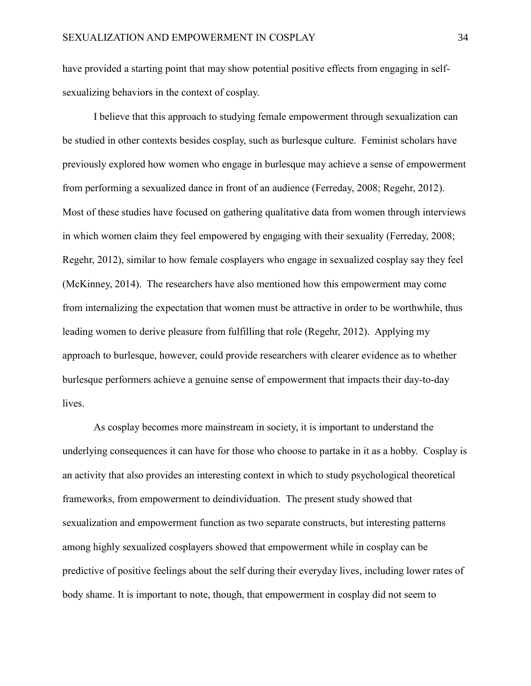have provided a starting point that may show potential positive effects from engaging in selfsexualizing behaviors in the context of cosplay.

I believe that this approach to studying female empowerment through sexualization can be studied in other contexts besides cosplay, such as burlesque culture. Feminist scholars have previously explored how women who engage in burlesque may achieve a sense of empowerment from performing a sexualized dance in front of an audience (Ferreday, 2008; Regehr, 2012). Most of these studies have focused on gathering qualitative data from women through interviews in which women claim they feel empowered by engaging with their sexuality (Ferreday, 2008; Regehr, 2012), similar to how female cosplayers who engage in sexualized cosplay say they feel (McKinney, 2014). The researchers have also mentioned how this empowerment may come from internalizing the expectation that women must be attractive in order to be worthwhile, thus leading women to derive pleasure from fulfilling that role (Regehr, 2012). Applying my approach to burlesque, however, could provide researchers with clearer evidence as to whether burlesque performers achieve a genuine sense of empowerment that impacts their day-to-day lives.

As cosplay becomes more mainstream in society, it is important to understand the underlying consequences it can have for those who choose to partake in it as a hobby. Cosplay is an activity that also provides an interesting context in which to study psychological theoretical frameworks, from empowerment to deindividuation. The present study showed that sexualization and empowerment function as two separate constructs, but interesting patterns among highly sexualized cosplayers showed that empowerment while in cosplay can be predictive of positive feelings about the self during their everyday lives, including lower rates of body shame. It is important to note, though, that empowerment in cosplay did not seem to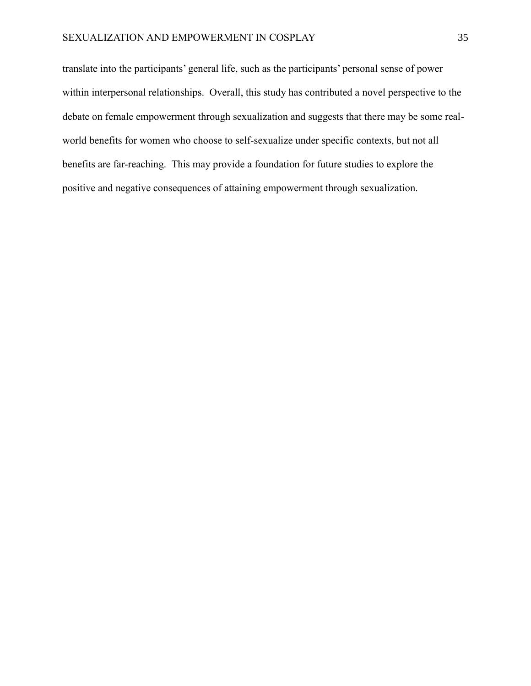translate into the participants' general life, such as the participants' personal sense of power within interpersonal relationships. Overall, this study has contributed a novel perspective to the debate on female empowerment through sexualization and suggests that there may be some realworld benefits for women who choose to self-sexualize under specific contexts, but not all benefits are far-reaching. This may provide a foundation for future studies to explore the positive and negative consequences of attaining empowerment through sexualization.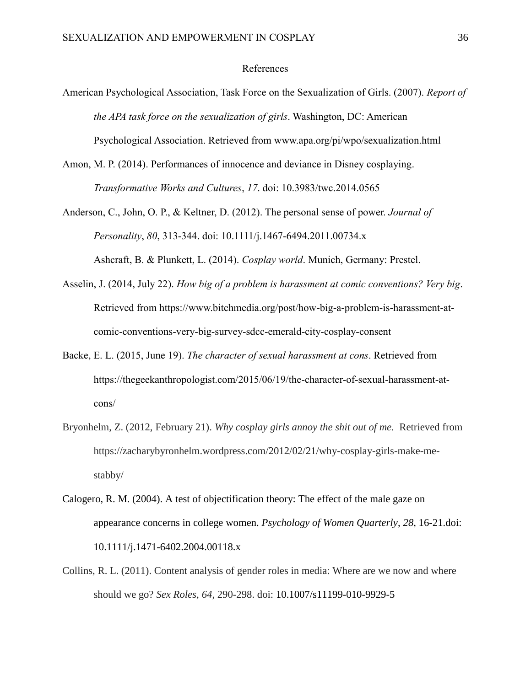### References

- American Psychological Association, Task Force on the Sexualization of Girls. (2007). *Report of the APA task force on the sexualization of girls*. Washington, DC: American Psychological Association. Retrieved from www.apa.org/pi/wpo/sexualization.html
- Amon, M. P. (2014). Performances of innocence and deviance in Disney cosplaying. *Transformative Works and Cultures*, *17*. doi: 10.3983/twc.2014.0565
- Anderson, C., John, O. P., & Keltner, D. (2012). The personal sense of power. *Journal of Personality*, *80*, 313-344. doi: 10.1111/j.1467-6494.2011.00734.x Ashcraft, B. & Plunkett, L. (2014). *Cosplay world*. Munich, Germany: Prestel.
- Asselin, J. (2014, July 22). *How big of a problem is harassment at comic conventions? Very big*. Retrieved from https://www.bitchmedia.org/post/how-big-a-problem-is-harassment-atcomic-conventions-very-big-survey-sdcc-emerald-city-cosplay-consent
- Backe, E. L. (2015, June 19). *The character of sexual harassment at cons*. Retrieved from https://thegeekanthropologist.com/2015/06/19/the-character-of-sexual-harassment-atcons/
- Bryonhelm, Z. (2012, February 21). *Why cosplay girls annoy the shit out of me.* Retrieved from https://zacharybyronhelm.wordpress.com/2012/02/21/why-cosplay-girls-make-mestabby/
- Calogero, R. M. (2004). A test of objectification theory: The effect of the male gaze on appearance concerns in college women. *Psychology of Women Quarterly*, *28*, 16-21.doi: 10.1111/j.1471-6402.2004.00118.x
- Collins, R. L. (2011). Content analysis of gender roles in media: Where are we now and where should we go? *Sex Roles*, *64*, 290-298. doi: 10.1007/s11199-010-9929-5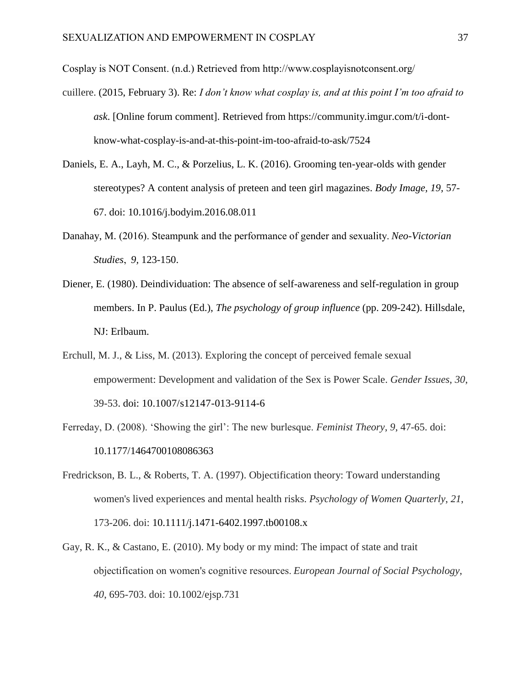Cosplay is NOT Consent. (n.d.) Retrieved from http://www.cosplayisnotconsent.org/

- cuillere. (2015, February 3). Re: *I don't know what cosplay is, and at this point I'm too afraid to ask*. [Online forum comment]. Retrieved from https://community.imgur.com/t/i-dontknow-what-cosplay-is-and-at-this-point-im-too-afraid-to-ask/7524
- Daniels, E. A., Layh, M. C., & Porzelius, L. K. (2016). Grooming ten-year-olds with gender stereotypes? A content analysis of preteen and teen girl magazines. *Body Image, 19,* 57- 67. doi: 10.1016/j.bodyim.2016.08.011
- Danahay, M. (2016). Steampunk and the performance of gender and sexuality. *Neo-Victorian Studies*,  *9,* 123-150.
- Diener, E. (1980). Deindividuation: The absence of self-awareness and self-regulation in group members. In P. Paulus (Ed.), *The psychology of group influence* (pp. 209-242). Hillsdale, NJ: Erlbaum.
- Erchull, M. J., & Liss, M. (2013). Exploring the concept of perceived female sexual empowerment: Development and validation of the Sex is Power Scale. *Gender Issues*, *30*, 39-53. doi: 10.1007/s12147-013-9114-6
- Ferreday, D. (2008). 'Showing the girl': The new burlesque. *Feminist Theory*, *9*, 47-65. doi: 10.1177/1464700108086363
- Fredrickson, B. L., & Roberts, T. A. (1997). Objectification theory: Toward understanding women's lived experiences and mental health risks. *Psychology of Women Quarterly*, *21*, 173-206. doi: 10.1111/j.1471-6402.1997.tb00108.x
- Gay, R. K., & Castano, E. (2010). My body or my mind: The impact of state and trait objectification on women's cognitive resources. *European Journal of Social Psychology*, *40*, 695-703. doi: 10.1002/ejsp.731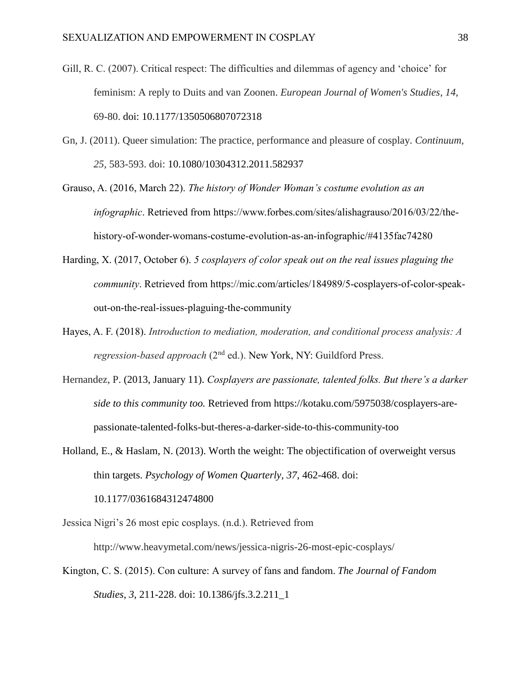- Gill, R. C. (2007). Critical respect: The difficulties and dilemmas of agency and 'choice' for feminism: A reply to Duits and van Zoonen. *European Journal of Women's Studies*, *14*, 69-80. doi: 10.1177/1350506807072318
- Gn, J. (2011). Queer simulation: The practice, performance and pleasure of cosplay. *Continuum, 25*, 583-593. doi: 10.1080/10304312.2011.582937
- Grauso, A. (2016, March 22). *The history of Wonder Woman's costume evolution as an infographic*. Retrieved from https://www.forbes.com/sites/alishagrauso/2016/03/22/thehistory-of-wonder-womans-costume-evolution-as-an-infographic/#4135fac74280
- Harding, X. (2017, October 6). *5 cosplayers of color speak out on the real issues plaguing the community*. Retrieved from https://mic.com/articles/184989/5-cosplayers-of-color-speakout-on-the-real-issues-plaguing-the-community
- Hayes, A. F. (2018). *Introduction to mediation, moderation, and conditional process analysis: A*  regression-based approach (2<sup>nd</sup> ed.). New York, NY: Guildford Press.
- Hernandez, P. (2013, January 11). *Cosplayers are passionate, talented folks. But there's a darker side to this community too.* Retrieved from https://kotaku.com/5975038/cosplayers-arepassionate-talented-folks-but-theres-a-darker-side-to-this-community-too
- Holland, E., & Haslam, N. (2013). Worth the weight: The objectification of overweight versus thin targets. *Psychology of Women Quarterly*, *37*, 462-468. doi: 10.1177/0361684312474800
- Jessica Nigri's 26 most epic cosplays. (n.d.). Retrieved from http://www.heavymetal.com/news/jessica-nigris-26-most-epic-cosplays/
- Kington, C. S. (2015). Con culture: A survey of fans and fandom. *The Journal of Fandom Studies*, *3*, 211-228. doi: 10.1386/jfs.3.2.211\_1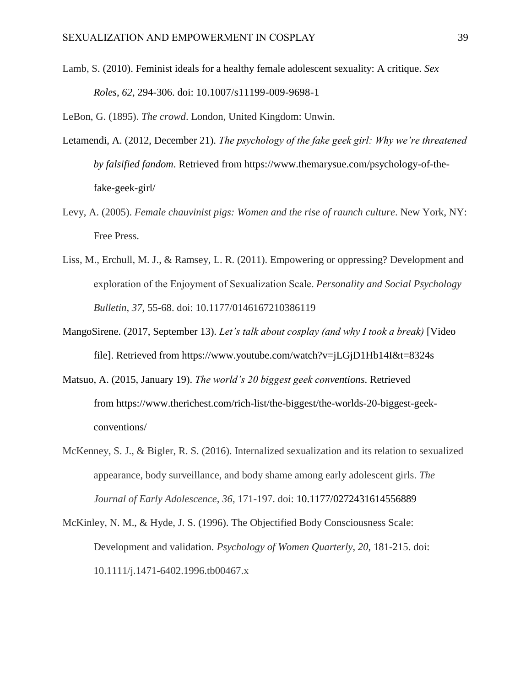Lamb, S. (2010). Feminist ideals for a healthy female adolescent sexuality: A critique. *Sex Roles*, *62*, 294-306. doi: 10.1007/s11199-009-9698-1

LeBon, G. (1895). *The crowd*. London, United Kingdom: Unwin.

- Letamendi, A. (2012, December 21). *The psychology of the fake geek girl: Why we're threatened by falsified fandom*. Retrieved from https://www.themarysue.com/psychology-of-thefake-geek-girl/
- Levy, A. (2005). *Female chauvinist pigs: Women and the rise of raunch culture*. New York, NY: Free Press.
- Liss, M., Erchull, M. J., & Ramsey, L. R. (2011). Empowering or oppressing? Development and exploration of the Enjoyment of Sexualization Scale. *Personality and Social Psychology Bulletin*, *37*, 55-68. doi: 10.1177/0146167210386119
- MangoSirene. (2017, September 13). *Let's talk about cosplay (and why I took a break)* [Video file]. Retrieved from https://www.youtube.com/watch?v=jLGjD1Hb14I&t=8324s
- Matsuo, A. (2015, January 19). *The world's 20 biggest geek conventions*. Retrieved from https://www.therichest.com/rich-list/the-biggest/the-worlds-20-biggest-geekconventions/
- McKenney, S. J., & Bigler, R. S. (2016). Internalized sexualization and its relation to sexualized appearance, body surveillance, and body shame among early adolescent girls. *The Journal of Early Adolescence, 36*, 171-197. doi: 10.1177/0272431614556889
- McKinley, N. M., & Hyde, J. S. (1996). The Objectified Body Consciousness Scale: Development and validation. *Psychology of Women Quarterly*, *20*, 181-215. doi: 10.1111/j.1471-6402.1996.tb00467.x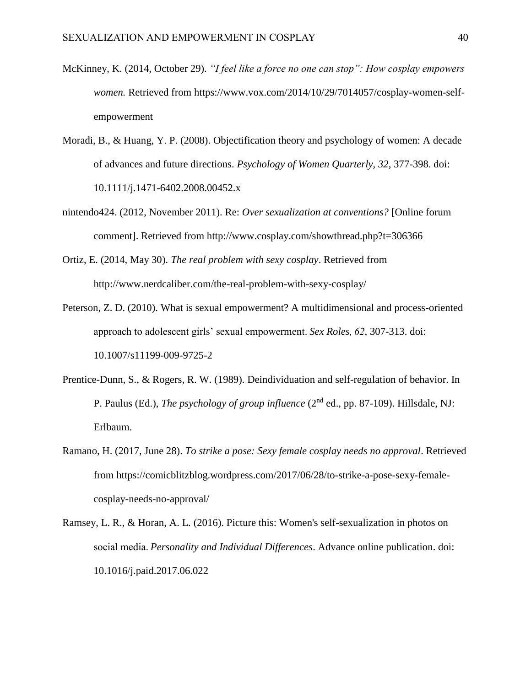- McKinney, K. (2014, October 29). *"I feel like a force no one can stop": How cosplay empowers women.* Retrieved from https://www.vox.com/2014/10/29/7014057/cosplay-women-selfempowerment
- Moradi, B., & Huang, Y. P. (2008). Objectification theory and psychology of women: A decade of advances and future directions. *Psychology of Women Quarterly*, *32*, 377-398. doi: 10.1111/j.1471-6402.2008.00452.x
- nintendo424. (2012, November 2011). Re: *Over sexualization at conventions?* [Online forum comment]. Retrieved from http://www.cosplay.com/showthread.php?t=306366
- Ortiz, E. (2014, May 30). *The real problem with sexy cosplay*. Retrieved from http://www.nerdcaliber.com/the-real-problem-with-sexy-cosplay/
- Peterson, Z. D. (2010). What is sexual empowerment? A multidimensional and process-oriented approach to adolescent girls' sexual empowerment. *Sex Roles, 62*, 307-313. doi: 10.1007/s11199-009-9725-2
- Prentice-Dunn, S., & Rogers, R. W. (1989). Deindividuation and self-regulation of behavior. In P. Paulus (Ed.), *The psychology of group influence* (2nd ed., pp. 87-109). Hillsdale, NJ: Erlbaum.
- Ramano, H. (2017, June 28). *To strike a pose: Sexy female cosplay needs no approval*. Retrieved from https://comicblitzblog.wordpress.com/2017/06/28/to-strike-a-pose-sexy-femalecosplay-needs-no-approval/
- Ramsey, L. R., & Horan, A. L. (2016). Picture this: Women's self-sexualization in photos on social media. *Personality and Individual Differences*. Advance online publication. doi: 10.1016/j.paid.2017.06.022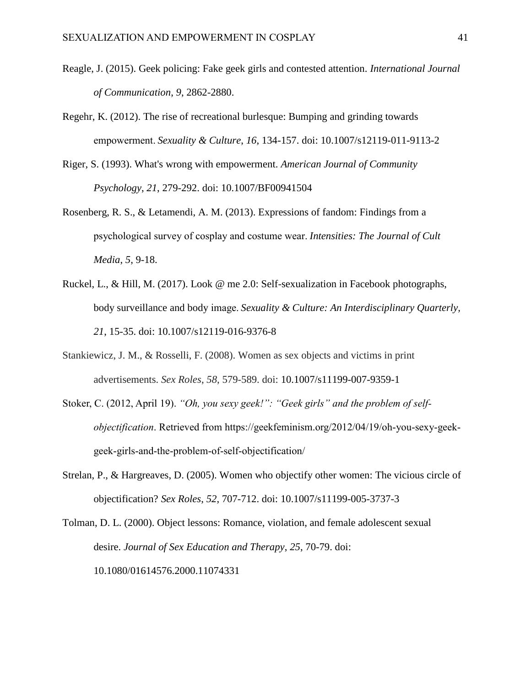- Reagle, J. (2015). Geek policing: Fake geek girls and contested attention. *International Journal of Communication*, *9*, 2862-2880.
- Regehr, K. (2012). The rise of recreational burlesque: Bumping and grinding towards empowerment. *Sexuality & Culture*, *16*, 134-157. doi: 10.1007/s12119-011-9113-2
- Riger, S. (1993). What's wrong with empowerment. *American Journal of Community Psychology*, *21*, 279-292. doi: 10.1007/BF00941504
- Rosenberg, R. S., & Letamendi, A. M. (2013). Expressions of fandom: Findings from a psychological survey of cosplay and costume wear. *Intensities: The Journal of Cult Media*, *5*, 9-18.
- Ruckel, L., & Hill, M. (2017). Look @ me 2.0: Self-sexualization in Facebook photographs, body surveillance and body image. *Sexuality & Culture: An Interdisciplinary Quarterly, 21*, 15-35. doi: 10.1007/s12119-016-9376-8
- Stankiewicz, J. M., & Rosselli, F. (2008). Women as sex objects and victims in print advertisements. *Sex Roles*, *58*, 579-589. doi: 10.1007/s11199-007-9359-1
- Stoker, C. (2012, April 19). *"Oh, you sexy geek!": "Geek girls" and the problem of selfobjectification*. Retrieved from https://geekfeminism.org/2012/04/19/oh-you-sexy-geekgeek-girls-and-the-problem-of-self-objectification/
- Strelan, P., & Hargreaves, D. (2005). Women who objectify other women: The vicious circle of objectification? *Sex Roles*, *52*, 707-712. doi: 10.1007/s11199-005-3737-3

Tolman, D. L. (2000). Object lessons: Romance, violation, and female adolescent sexual desire. *Journal of Sex Education and Therapy*, *25*, 70-79. doi: 10.1080/01614576.2000.11074331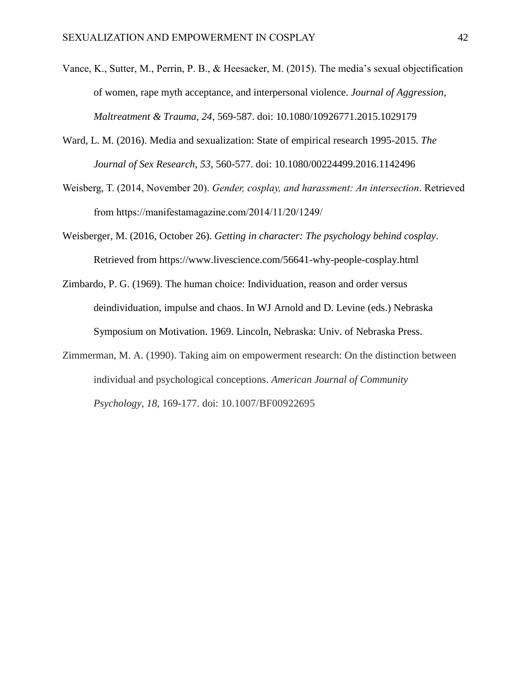- Vance, K., Sutter, M., Perrin, P. B., & Heesacker, M. (2015). The media's sexual objectification of women, rape myth acceptance, and interpersonal violence. *Journal of Aggression, Maltreatment & Trauma, 24*, 569-587. doi: 10.1080/10926771.2015.1029179
- Ward, L. M. (2016). Media and sexualization: State of empirical research 1995-2015. *The Journal of Sex Research, 53,* 560-577. doi: 10.1080/00224499.2016.1142496
- Weisberg, T. (2014, November 20). *Gender, cosplay, and harassment: An intersection*. Retrieved from https://manifestamagazine.com/2014/11/20/1249/
- Weisberger, M. (2016, October 26). *Getting in character: The psychology behind cosplay*. Retrieved from https://www.livescience.com/56641-why-people-cosplay.html
- Zimbardo, P. G. (1969). The human choice: Individuation, reason and order versus deindividuation, impulse and chaos. In WJ Arnold and D. Levine (eds.) Nebraska Symposium on Motivation. 1969. Lincoln, Nebraska: Univ. of Nebraska Press.
- Zimmerman, M. A. (1990). Taking aim on empowerment research: On the distinction between individual and psychological conceptions. *American Journal of Community Psychology*, *18*, 169-177. doi: 10.1007/BF00922695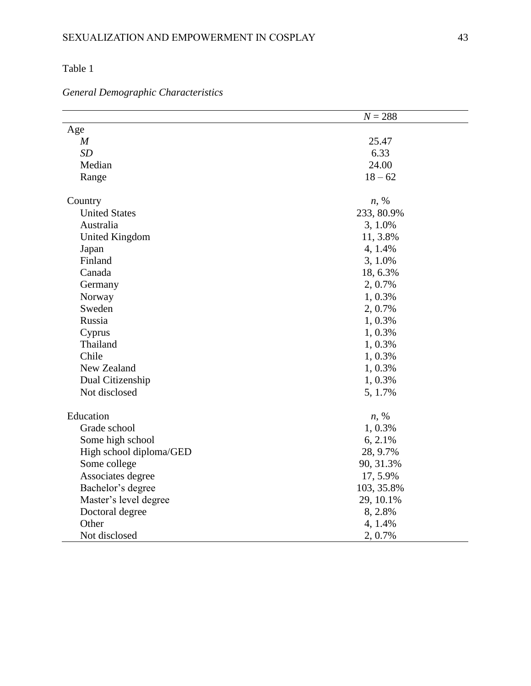| <b>General Demographic Characteristics</b> |  |
|--------------------------------------------|--|
|                                            |  |

|                             | $N = 288$  |  |  |  |
|-----------------------------|------------|--|--|--|
| Age                         |            |  |  |  |
| $\boldsymbol{M}$            | 25.47      |  |  |  |
| SD                          | 6.33       |  |  |  |
| Median                      | 24.00      |  |  |  |
| Range                       | $18 - 62$  |  |  |  |
| Country                     | $n, \%$    |  |  |  |
| <b>United States</b>        | 233, 80.9% |  |  |  |
| Australia                   | 3, 1.0%    |  |  |  |
| <b>United Kingdom</b>       | 11, 3.8%   |  |  |  |
| Japan                       | 4, 1.4%    |  |  |  |
| Finland                     | 3, 1.0%    |  |  |  |
| Canada                      | 18, 6.3%   |  |  |  |
| Germany                     | 2, 0.7%    |  |  |  |
| Norway                      | 1, 0.3%    |  |  |  |
| Sweden                      | 2, 0.7%    |  |  |  |
| Russia                      | 1, 0.3%    |  |  |  |
| Cyprus                      | 1, 0.3%    |  |  |  |
| Thailand                    | 1, 0.3%    |  |  |  |
| Chile                       | 1, 0.3%    |  |  |  |
| New Zealand                 | 1, 0.3%    |  |  |  |
| Dual Citizenship<br>1, 0.3% |            |  |  |  |
| Not disclosed               | 5, 1.7%    |  |  |  |
| Education                   | $n, \%$    |  |  |  |
| Grade school                | 1, 0.3%    |  |  |  |
| Some high school            | $6, 2.1\%$ |  |  |  |
| High school diploma/GED     | 28, 9.7%   |  |  |  |
| Some college<br>90, 31.3%   |            |  |  |  |
| Associates degree           | 17, 5.9%   |  |  |  |
| Bachelor's degree           | 103, 35.8% |  |  |  |
| Master's level degree       | 29, 10.1%  |  |  |  |
| Doctoral degree             | 8, 2.8%    |  |  |  |
| Other                       | 4, 1.4%    |  |  |  |
| Not disclosed               | 2, 0.7%    |  |  |  |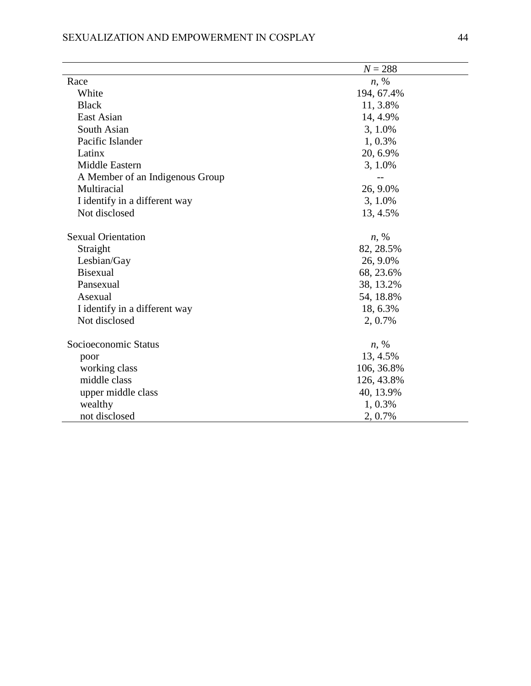# SEXUALIZATION AND EMPOWERMENT IN COSPLAY 44

|                                 | $N = 288$  |  |  |
|---------------------------------|------------|--|--|
| Race                            | $n, \%$    |  |  |
| White                           | 194, 67.4% |  |  |
| <b>Black</b>                    | 11, 3.8%   |  |  |
| East Asian                      | 14, 4.9%   |  |  |
| South Asian                     | 3, 1.0%    |  |  |
| Pacific Islander                | 1, 0.3%    |  |  |
| Latinx                          | 20, 6.9%   |  |  |
| Middle Eastern                  | 3, 1.0%    |  |  |
| A Member of an Indigenous Group |            |  |  |
| Multiracial                     | 26, 9.0%   |  |  |
| I identify in a different way   | 3, 1.0%    |  |  |
| Not disclosed                   | 13, 4.5%   |  |  |
| <b>Sexual Orientation</b>       | $n, \%$    |  |  |
| Straight                        | 82, 28.5%  |  |  |
| Lesbian/Gay                     | 26, 9.0%   |  |  |
| <b>Bisexual</b><br>68, 23.6%    |            |  |  |
| 38, 13.2%<br>Pansexual          |            |  |  |
| Asexual<br>54, 18.8%            |            |  |  |
| I identify in a different way   | 18, 6.3%   |  |  |
| Not disclosed                   | 2, 0.7%    |  |  |
| Socioeconomic Status            | $n, \%$    |  |  |
| poor                            | 13, 4.5%   |  |  |
| working class                   | 106, 36.8% |  |  |
| middle class                    | 126, 43.8% |  |  |
| upper middle class              | 40, 13.9%  |  |  |
| wealthy                         | 1, 0.3%    |  |  |
| not disclosed                   | 2, 0.7%    |  |  |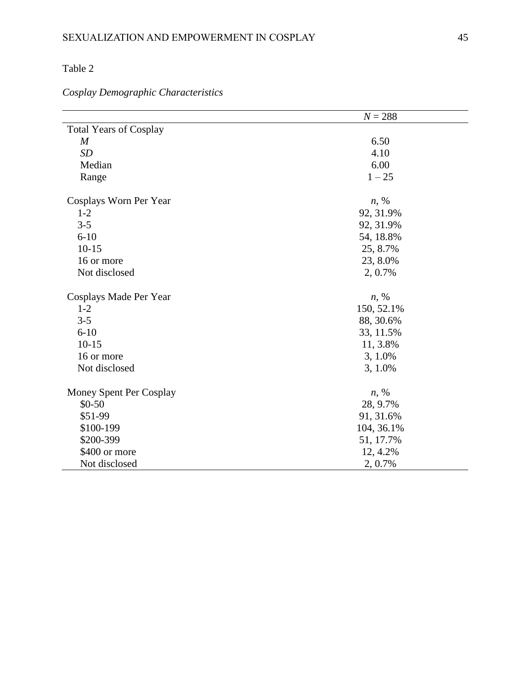# *Cosplay Demographic Characteristics*

|                               | $N = 288$  |  |  |  |
|-------------------------------|------------|--|--|--|
| <b>Total Years of Cosplay</b> |            |  |  |  |
| $\boldsymbol{M}$              | 6.50       |  |  |  |
| <b>SD</b>                     | 4.10       |  |  |  |
| Median                        | 6.00       |  |  |  |
| Range                         | $1 - 25$   |  |  |  |
| Cosplays Worn Per Year        | $n, \%$    |  |  |  |
| $1 - 2$                       | 92, 31.9%  |  |  |  |
| $3 - 5$                       | 92, 31.9%  |  |  |  |
| $6 - 10$                      | 54, 18.8%  |  |  |  |
| $10 - 15$                     | 25, 8.7%   |  |  |  |
| 16 or more                    | 23, 8.0%   |  |  |  |
| Not disclosed                 | 2, 0.7%    |  |  |  |
| Cosplays Made Per Year        | $n, \%$    |  |  |  |
| $1 - 2$                       | 150, 52.1% |  |  |  |
| $3 - 5$                       | 88, 30.6%  |  |  |  |
| $6 - 10$                      | 33, 11.5%  |  |  |  |
| $10-15$                       | 11, 3.8%   |  |  |  |
| 16 or more                    | 3, 1.0%    |  |  |  |
| Not disclosed                 | 3, 1.0%    |  |  |  |
| Money Spent Per Cosplay       | $n, \%$    |  |  |  |
| $$0-50$                       | 28, 9.7%   |  |  |  |
| \$51-99                       | 91, 31.6%  |  |  |  |
| \$100-199                     | 104, 36.1% |  |  |  |
| \$200-399                     | 51, 17.7%  |  |  |  |
| \$400 or more                 | 12, 4.2%   |  |  |  |
| Not disclosed                 | 2, 0.7%    |  |  |  |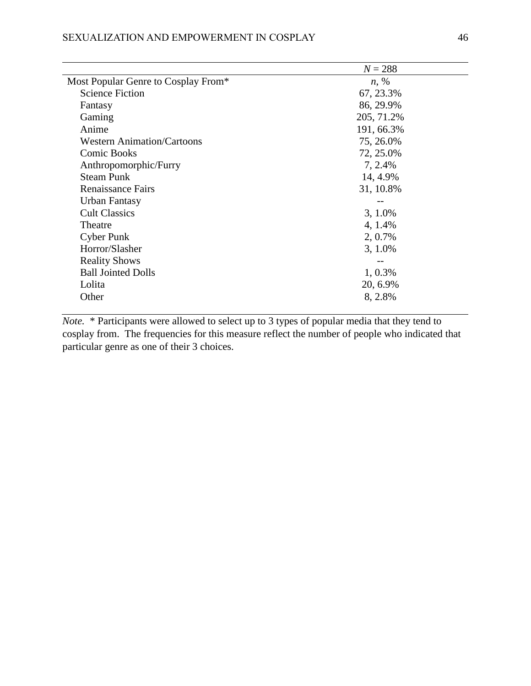|                                     | $N = 288$  |
|-------------------------------------|------------|
| Most Popular Genre to Cosplay From* | $n, \%$    |
| <b>Science Fiction</b>              | 67, 23.3%  |
| Fantasy                             | 86, 29.9%  |
| Gaming                              | 205, 71.2% |
| Anime                               | 191, 66.3% |
| <b>Western Animation/Cartoons</b>   | 75, 26.0%  |
| <b>Comic Books</b>                  | 72, 25.0%  |
| Anthropomorphic/Furry               | 7, 2.4%    |
| <b>Steam Punk</b>                   | 14, 4.9%   |
| <b>Renaissance Fairs</b>            | 31, 10.8%  |
| Urban Fantasy                       |            |
| <b>Cult Classics</b>                | 3, 1.0%    |
| Theatre                             | 4, 1.4%    |
| <b>Cyber Punk</b>                   | 2, 0.7%    |
| Horror/Slasher                      | 3, 1.0%    |
| <b>Reality Shows</b>                |            |
| <b>Ball Jointed Dolls</b>           | 1, 0.3%    |
| Lolita                              | 20, 6.9%   |
| Other                               | 8, 2.8%    |
|                                     |            |

*Note.* \* Participants were allowed to select up to 3 types of popular media that they tend to cosplay from. The frequencies for this measure reflect the number of people who indicated that particular genre as one of their 3 choices.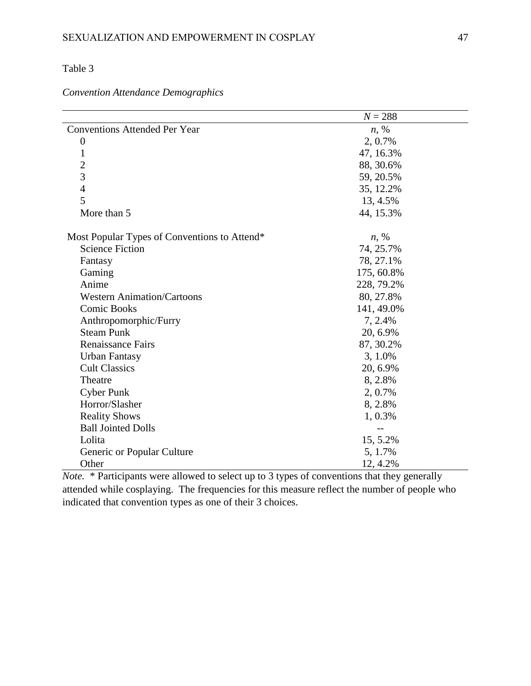*Convention Attendance Demographics*

|                                                | $N = 288$  |  |  |
|------------------------------------------------|------------|--|--|
| <b>Conventions Attended Per Year</b>           | $n, \%$    |  |  |
| $\boldsymbol{0}$                               | 2, 0.7%    |  |  |
| 1                                              | 47, 16.3%  |  |  |
| $\overline{c}$                                 | 88, 30.6%  |  |  |
| $\overline{3}$                                 | 59, 20.5%  |  |  |
| $\overline{4}$                                 | 35, 12.2%  |  |  |
| 5                                              | 13, 4.5%   |  |  |
| More than 5                                    | 44, 15.3%  |  |  |
| Most Popular Types of Conventions to Attend*   | $n, \%$    |  |  |
| <b>Science Fiction</b>                         | 74, 25.7%  |  |  |
| Fantasy                                        | 78, 27.1%  |  |  |
| Gaming                                         | 175, 60.8% |  |  |
| Anime                                          | 228, 79.2% |  |  |
| <b>Western Animation/Cartoons</b><br>80, 27.8% |            |  |  |
| <b>Comic Books</b><br>141, 49.0%               |            |  |  |
| Anthropomorphic/Furry<br>7, 2.4%               |            |  |  |
| <b>Steam Punk</b>                              | 20, 6.9%   |  |  |
| <b>Renaissance Fairs</b>                       | 87, 30.2%  |  |  |
| <b>Urban Fantasy</b>                           | 3, 1.0%    |  |  |
| <b>Cult Classics</b>                           | 20, 6.9%   |  |  |
| Theatre                                        | 8, 2.8%    |  |  |
| <b>Cyber Punk</b>                              | 2, 0.7%    |  |  |
| Horror/Slasher<br>8, 2.8%                      |            |  |  |
| <b>Reality Shows</b><br>$1,0.3\%$              |            |  |  |
| <b>Ball Jointed Dolls</b>                      | $-$        |  |  |
| Lolita                                         | 15, 5.2%   |  |  |
| Generic or Popular Culture                     | 5, 1.7%    |  |  |
| Other                                          | 12, 4.2%   |  |  |

*Note.* \* Participants were allowed to select up to 3 types of conventions that they generally attended while cosplaying. The frequencies for this measure reflect the number of people who indicated that convention types as one of their 3 choices.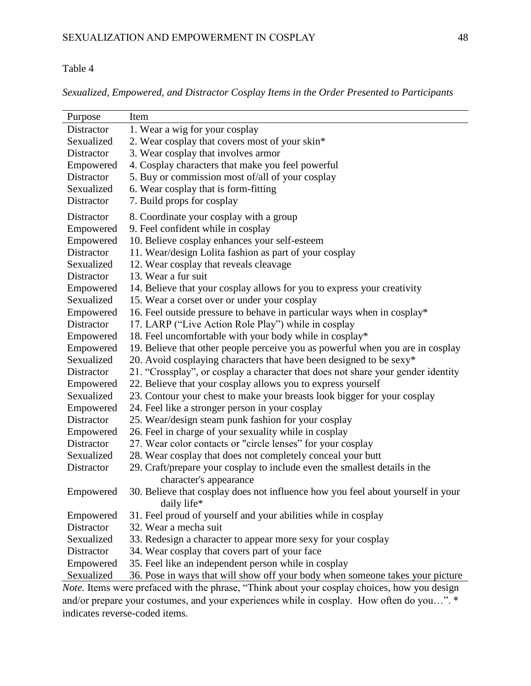*Sexualized, Empowered, and Distractor Cosplay Items in the Order Presented to Participants*

| Purpose    | Item                                                                             |
|------------|----------------------------------------------------------------------------------|
| Distractor | 1. Wear a wig for your cosplay                                                   |
| Sexualized | 2. Wear cosplay that covers most of your skin*                                   |
| Distractor | 3. Wear cosplay that involves armor                                              |
| Empowered  | 4. Cosplay characters that make you feel powerful                                |
| Distractor | 5. Buy or commission most of/all of your cosplay                                 |
| Sexualized | 6. Wear cosplay that is form-fitting                                             |
| Distractor | 7. Build props for cosplay                                                       |
| Distractor | 8. Coordinate your cosplay with a group                                          |
| Empowered  | 9. Feel confident while in cosplay                                               |
| Empowered  | 10. Believe cosplay enhances your self-esteem                                    |
| Distractor | 11. Wear/design Lolita fashion as part of your cosplay                           |
| Sexualized | 12. Wear cosplay that reveals cleavage                                           |
| Distractor | 13. Wear a fur suit                                                              |
| Empowered  | 14. Believe that your cosplay allows for you to express your creativity          |
| Sexualized | 15. Wear a corset over or under your cosplay                                     |
| Empowered  | 16. Feel outside pressure to behave in particular ways when in cosplay*          |
| Distractor | 17. LARP ("Live Action Role Play") while in cosplay                              |
| Empowered  | 18. Feel uncomfortable with your body while in cosplay*                          |
| Empowered  | 19. Believe that other people perceive you as powerful when you are in cosplay   |
| Sexualized | 20. Avoid cosplaying characters that have been designed to be sexy*              |
| Distractor | 21. "Crossplay", or cosplay a character that does not share your gender identity |
| Empowered  | 22. Believe that your cosplay allows you to express yourself                     |
| Sexualized | 23. Contour your chest to make your breasts look bigger for your cosplay         |
| Empowered  | 24. Feel like a stronger person in your cosplay                                  |
| Distractor | 25. Wear/design steam punk fashion for your cosplay                              |
| Empowered  | 26. Feel in charge of your sexuality while in cosplay                            |
| Distractor | 27. Wear color contacts or "circle lenses" for your cosplay                      |
| Sexualized | 28. Wear cosplay that does not completely conceal your butt                      |
| Distractor | 29. Craft/prepare your cosplay to include even the smallest details in the       |
|            | character's appearance                                                           |
| Empowered  | 30. Believe that cosplay does not influence how you feel about yourself in your  |
|            | daily life*                                                                      |
| Empowered  | 31. Feel proud of yourself and your abilities while in cosplay                   |
| Distractor | 32. Wear a mecha suit                                                            |
| Sexualized | 33. Redesign a character to appear more sexy for your cosplay                    |
| Distractor | 34. Wear cosplay that covers part of your face                                   |
| Empowered  | 35. Feel like an independent person while in cosplay                             |
| Sexualized | 36. Pose in ways that will show off your body when someone takes your picture    |

*Note.* Items were prefaced with the phrase, "Think about your cosplay choices, how you design and/or prepare your costumes, and your experiences while in cosplay. How often do you…". \* indicates reverse-coded items.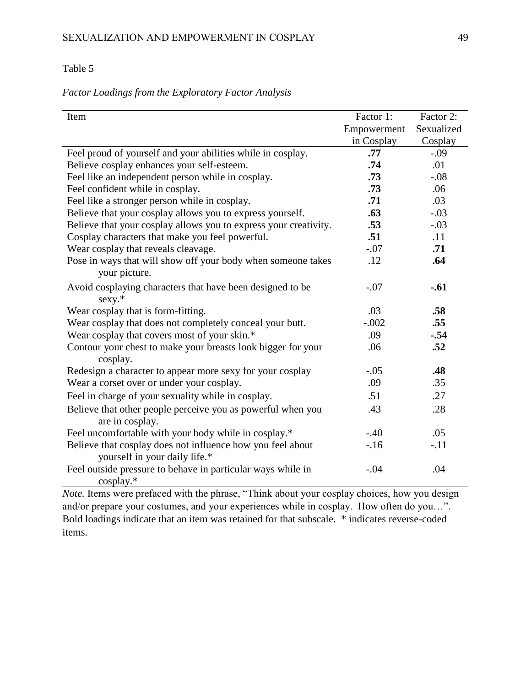## *Factor Loadings from the Exploratory Factor Analysis*

| Item                                                             | Factor 1:   | Factor 2:  |
|------------------------------------------------------------------|-------------|------------|
|                                                                  | Empowerment | Sexualized |
|                                                                  | in Cosplay  | Cosplay    |
| Feel proud of yourself and your abilities while in cosplay.      | .77         | $-.09$     |
|                                                                  | .74         | .01        |
| Believe cosplay enhances your self-esteem.                       |             |            |
| Feel like an independent person while in cosplay.                | .73         | $-.08$     |
| Feel confident while in cosplay.                                 | .73         | .06        |
| Feel like a stronger person while in cosplay.                    | .71         | .03        |
| Believe that your cosplay allows you to express yourself.        | .63         | $-.03$     |
| Believe that your cosplay allows you to express your creativity. | .53         | $-.03$     |
| Cosplay characters that make you feel powerful.                  | .51         | .11        |
| Wear cosplay that reveals cleavage.                              | $-.07$      | .71        |
| Pose in ways that will show off your body when someone takes     | .12         | .64        |
| your picture.                                                    |             |            |
| Avoid cosplaying characters that have been designed to be        | $-.07$      | $-.61$     |
| $sexy.*$                                                         |             |            |
| Wear cosplay that is form-fitting.                               | .03         | .58        |
| Wear cosplay that does not completely conceal your butt.         | $-.002$     | .55        |
| Wear cosplay that covers most of your skin.*                     | .09         | $-.54$     |
| Contour your chest to make your breasts look bigger for your     | .06         | .52        |
| cosplay.                                                         |             |            |
| Redesign a character to appear more sexy for your cosplay        | $-.05$      | .48        |
| Wear a corset over or under your cosplay.                        | .09         | .35        |
| Feel in charge of your sexuality while in cosplay.               | .51         | .27        |
| Believe that other people perceive you as powerful when you      | .43         | .28        |
| are in cosplay.                                                  |             |            |
| Feel uncomfortable with your body while in cosplay.*             | $-.40$      | .05        |
| Believe that cosplay does not influence how you feel about       | $-.16$      | $-.11$     |
| yourself in your daily life.*                                    |             |            |
| Feel outside pressure to behave in particular ways while in      | $-.04$      | .04        |
| $\cos$ play.*                                                    |             |            |

*Note.* Items were prefaced with the phrase, "Think about your cosplay choices, how you design and/or prepare your costumes, and your experiences while in cosplay. How often do you…". Bold loadings indicate that an item was retained for that subscale. \* indicates reverse-coded items.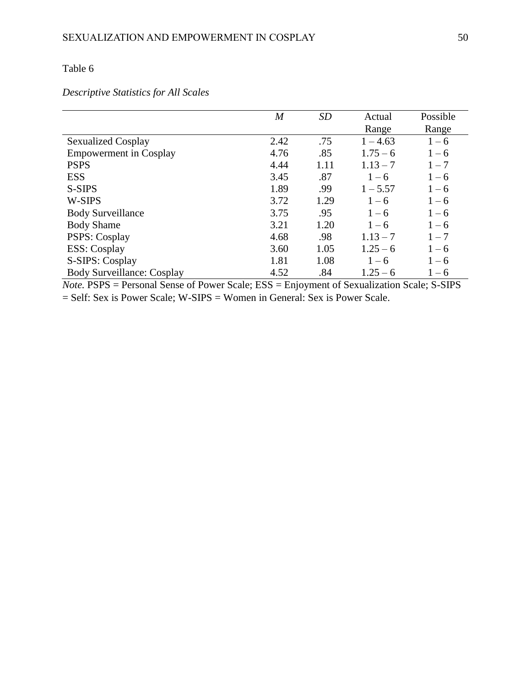# *Descriptive Statistics for All Scales*

|                                   | $\overline{M}$ | <b>SD</b> | Actual     | Possible |
|-----------------------------------|----------------|-----------|------------|----------|
|                                   |                |           | Range      | Range    |
| <b>Sexualized Cosplay</b>         | 2.42           | .75       | $1 - 4.63$ | $1 - 6$  |
| <b>Empowerment</b> in Cosplay     | 4.76           | .85       | $1.75 - 6$ | $1 - 6$  |
| <b>PSPS</b>                       | 4.44           | 1.11      | $1.13 - 7$ | $1 - 7$  |
| <b>ESS</b>                        | 3.45           | .87       | $1 - 6$    | $1 - 6$  |
| S-SIPS                            | 1.89           | .99       | $1 - 5.57$ | $1 - 6$  |
| W-SIPS                            | 3.72           | 1.29      | $1 - 6$    | $1 - 6$  |
| <b>Body Surveillance</b>          | 3.75           | .95       | $1 - 6$    | $1 - 6$  |
| <b>Body Shame</b>                 | 3.21           | 1.20      | $1 - 6$    | $1 - 6$  |
| <b>PSPS: Cosplay</b>              | 4.68           | .98       | $1.13 - 7$ | $1 - 7$  |
| <b>ESS</b> : Cosplay              | 3.60           | 1.05      | $1.25 - 6$ | $1 - 6$  |
| S-SIPS: Cosplay                   | 1.81           | 1.08      | $1 - 6$    | $1 - 6$  |
| <b>Body Surveillance: Cosplay</b> | 4.52           | .84       | $1.25 - 6$ | $1 - 6$  |

*Note.* PSPS = Personal Sense of Power Scale; ESS = Enjoyment of Sexualization Scale; S-SIPS = Self: Sex is Power Scale; W-SIPS = Women in General: Sex is Power Scale.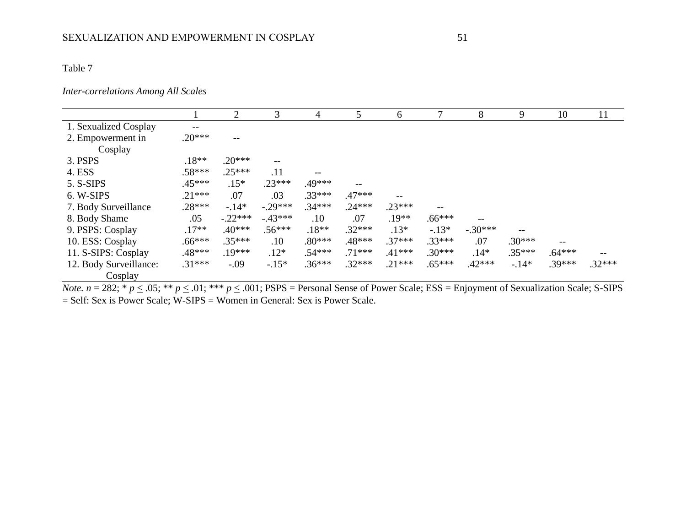## *Inter-correlations Among All Scales*

|                        |                          | 2                        | 3        | 4        | 5                        | 6        |                   | 8         | 9        | 10       | 11       |
|------------------------|--------------------------|--------------------------|----------|----------|--------------------------|----------|-------------------|-----------|----------|----------|----------|
| 1. Sexualized Cosplay  | $\overline{\phantom{m}}$ |                          |          |          |                          |          |                   |           |          |          |          |
| 2. Empowerment in      | $.20***$                 | $\overline{\phantom{m}}$ |          |          |                          |          |                   |           |          |          |          |
| Cosplay                |                          |                          |          |          |                          |          |                   |           |          |          |          |
| 3. PSPS                | $.18**$                  | $.20***$                 | --       |          |                          |          |                   |           |          |          |          |
| 4. ESS                 | $.58***$                 | $.25***$                 | .11      |          |                          |          |                   |           |          |          |          |
| 5. S-SIPS              | $.45***$                 | $.15*$                   | $.23***$ | .49***   | $\overline{\phantom{m}}$ |          |                   |           |          |          |          |
| 6. W-SIPS              | $.21***$                 | .07                      | .03      | $.33***$ | $.47***$                 |          |                   |           |          |          |          |
| 7. Body Surveillance   | $.28***$                 | $-.14*$                  | $-29***$ | $.34***$ | $.24***$                 | $.23***$ | $\qquad \qquad -$ |           |          |          |          |
| 8. Body Shame          | .05                      | $-.22***$                | $-43***$ | .10      | .07                      | $.19**$  | $.66***$          |           |          |          |          |
| 9. PSPS: Cosplay       | $.17**$                  | $.40***$                 | $.56***$ | $.18**$  | $.32***$                 | $.13*$   | $-.13*$           | $-.30***$ | --       |          |          |
| 10. ESS: Cosplay       | $.66***$                 | $.35***$                 | .10      | $.80***$ | .48***                   | $.37***$ | $.33***$          | .07       | $.30***$ | $- -$    |          |
| 11. S-SIPS: Cosplay    | .48***                   | $.19***$                 | $.12*$   | $.54***$ | $.71***$                 | $.41***$ | $.30***$          | $.14*$    | $.35***$ | $.64***$ |          |
| 12. Body Surveillance: | $.31***$                 | $-.09$                   | $-.15*$  | $.36***$ | $.32***$                 | $.21***$ | $.65***$          | $.42***$  | $-.14*$  | $.39***$ | $.32***$ |
| Cosplay                |                          |                          |          |          |                          |          |                   |           |          |          |          |

*Note.*  $n = 282$ ;  $* p \le .05$ ;  $** p \le .01$ ;  $** p \le .001$ ;  $PSPS = Personal$  Sense of Power Scale; ESS = Enjoyment of Sexualization Scale; S-SIPS = Self: Sex is Power Scale; W-SIPS = Women in General: Sex is Power Scale.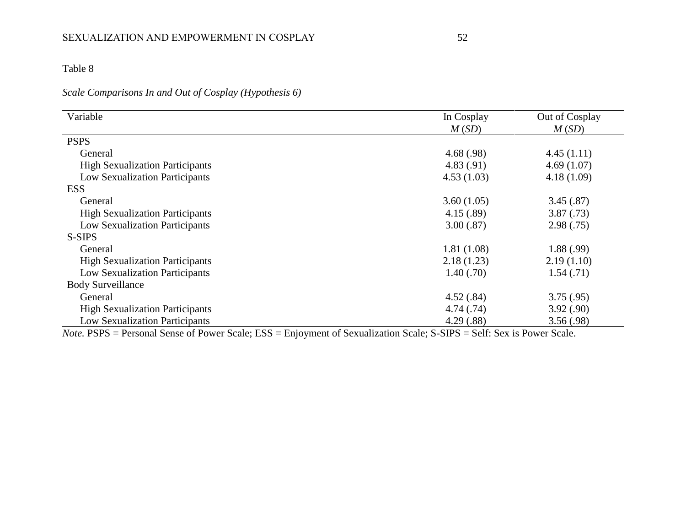# *Scale Comparisons In and Out of Cosplay (Hypothesis 6)*

| Variable                               | In Cosplay | Out of Cosplay |
|----------------------------------------|------------|----------------|
|                                        | M(SD)      | M(SD)          |
| <b>PSPS</b>                            |            |                |
| General                                | 4.68(.98)  | 4.45(1.11)     |
| <b>High Sexualization Participants</b> | 4.83(.91)  | 4.69(1.07)     |
| Low Sexualization Participants         | 4.53(1.03) | 4.18(1.09)     |
| <b>ESS</b>                             |            |                |
| General                                | 3.60(1.05) | 3.45(.87)      |
| <b>High Sexualization Participants</b> | 4.15(.89)  | 3.87(.73)      |
| <b>Low Sexualization Participants</b>  | 3.00(.87)  | 2.98(.75)      |
| S-SIPS                                 |            |                |
| General                                | 1.81(1.08) | 1.88(.99)      |
| <b>High Sexualization Participants</b> | 2.18(1.23) | 2.19(1.10)     |
| <b>Low Sexualization Participants</b>  | 1.40(.70)  | 1.54(.71)      |
| <b>Body Surveillance</b>               |            |                |
| General                                | 4.52(.84)  | 3.75(.95)      |
| <b>High Sexualization Participants</b> | 4.74(.74)  | 3.92(.90)      |
| <b>Low Sexualization Participants</b>  | 4.29(.88)  | 3.56(.98)      |

*Note.* PSPS = Personal Sense of Power Scale; ESS = Enjoyment of Sexualization Scale; S-SIPS = Self: Sex is Power Scale.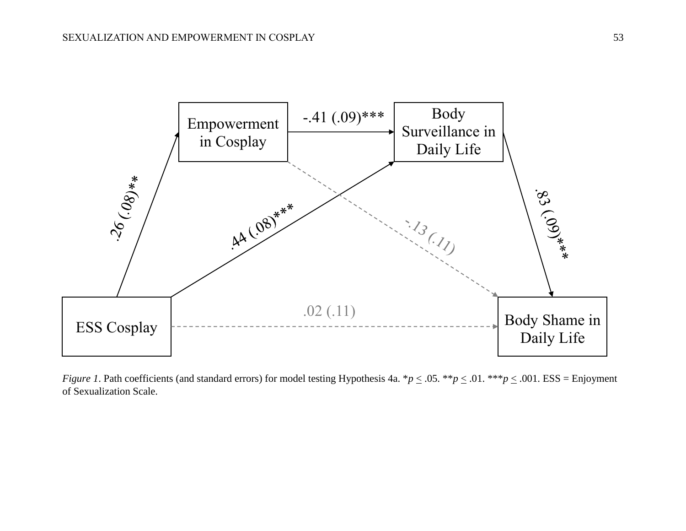

*Figure 1*. Path coefficients (and standard errors) for model testing Hypothesis 4a.  $*p \le 0.05$ .  $**p \le 0.01$ .  $**p \le 0.001$ . ESS = Enjoyment of Sexualization Scale.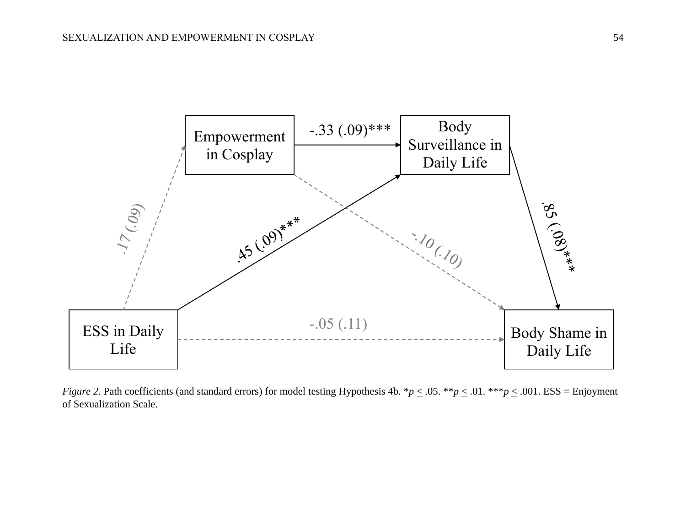

*Figure 2.* Path coefficients (and standard errors) for model testing Hypothesis 4b.  $*p \le 0.05$ .  $**p \le 0.01$ .  $**p \le 0.001$ . ESS = Enjoyment of Sexualization Scale.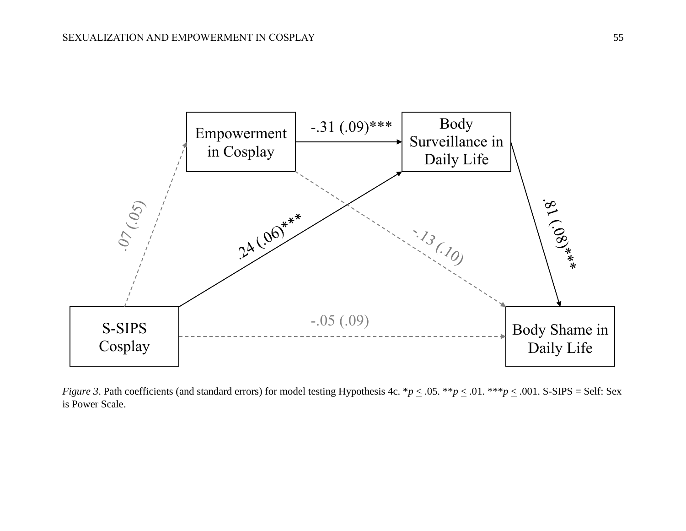

*Figure 3*. Path coefficients (and standard errors) for model testing Hypothesis 4c.  $^*p \leq .05$ .  $^{**}p \leq .01$ .  $^{***}p \leq .001$ . S-SIPS = Self: Sex is Power Scale.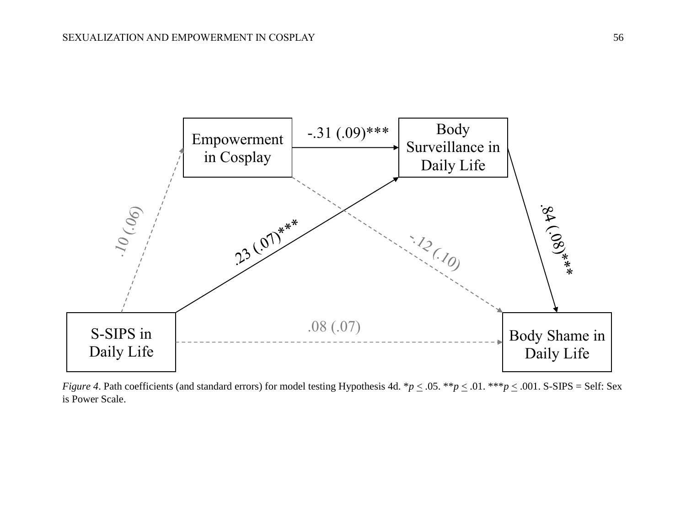

*Figure 4*. Path coefficients (and standard errors) for model testing Hypothesis 4d.  $^*p \leq .05$ .  $^{**}p \leq .01$ .  $^{**}p \leq .001$ . S-SIPS = Self: Sex is Power Scale.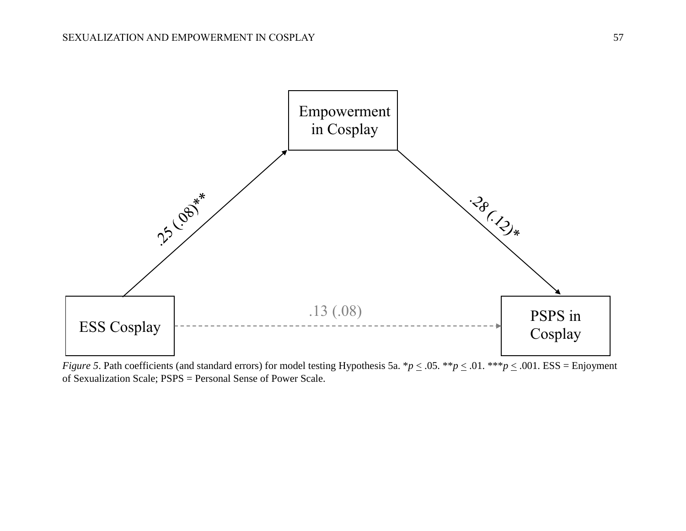

*Figure 5*. Path coefficients (and standard errors) for model testing Hypothesis 5a.  $*p \le 0.05$ .  $**p \le 0.01$ .  $**p \le 0.001$ . ESS = Enjoyment of Sexualization Scale; PSPS = Personal Sense of Power Scale.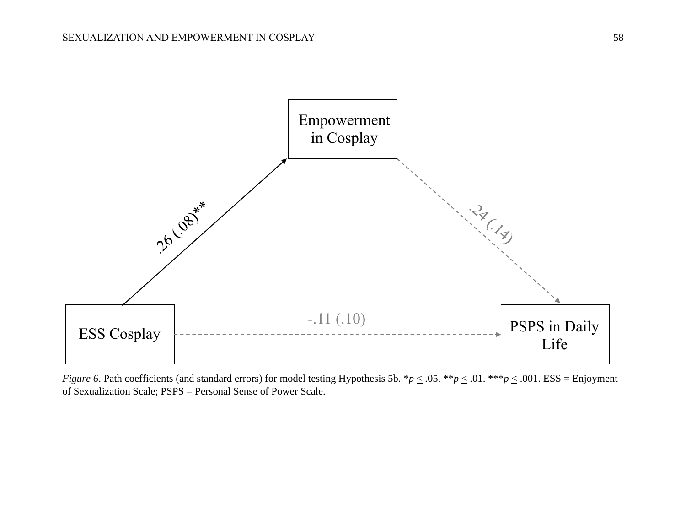

*Figure 6*. Path coefficients (and standard errors) for model testing Hypothesis 5b.  $*p \le 0.05$ .  $**p \le 0.01$ .  $**p \le 0.001$ . ESS = Enjoyment of Sexualization Scale; PSPS = Personal Sense of Power Scale.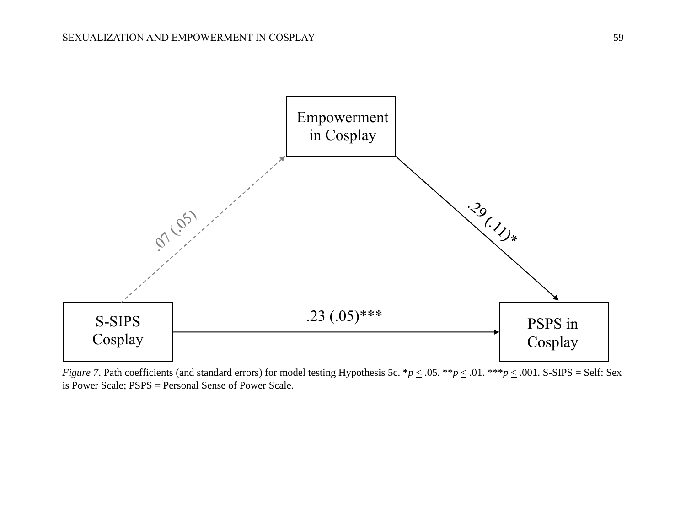

*Figure 7.* Path coefficients (and standard errors) for model testing Hypothesis 5c. \**p*  $\leq$  .05. \*\**p*  $\leq$  .01. \*\*\**p*  $\leq$  .001. S-SIPS = Self: Sex is Power Scale; PSPS = Personal Sense of Power Scale.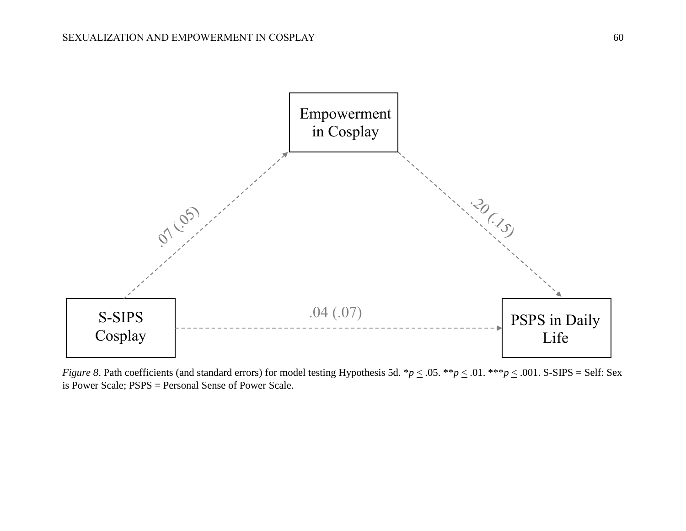

*Figure 8*. Path coefficients (and standard errors) for model testing Hypothesis 5d.  $*p \leq .05$ .  $**p \leq .01$ .  $**p \leq .001$ . S-SIPS = Self: Sex is Power Scale; PSPS = Personal Sense of Power Scale.